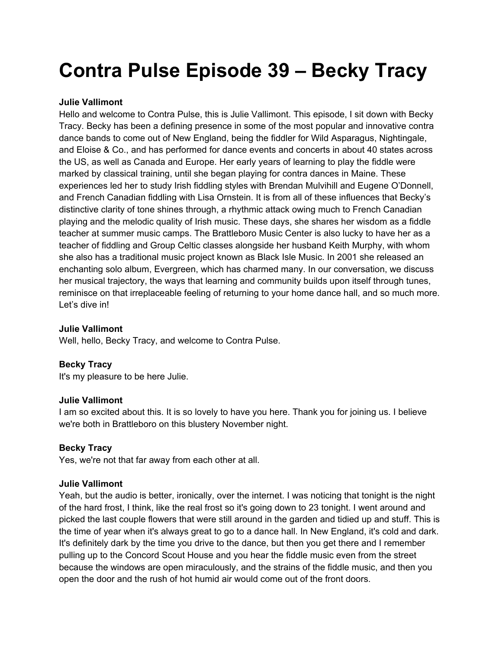# **Contra Pulse Episode 39 – Becky Tracy**

# **Julie Vallimont**

Hello and welcome to Contra Pulse, this is Julie Vallimont. This episode, I sit down with Becky Tracy. Becky has been a defining presence in some of the most popular and innovative contra dance bands to come out of New England, being the fiddler for Wild Asparagus, Nightingale, and Eloise & Co., and has performed for dance events and concerts in about 40 states across the US, as well as Canada and Europe. Her early years of learning to play the fiddle were marked by classical training, until she began playing for contra dances in Maine. These experiences led her to study Irish fiddling styles with Brendan Mulvihill and Eugene O'Donnell, and French Canadian fiddling with Lisa Ornstein. It is from all of these influences that Becky's distinctive clarity of tone shines through, a rhythmic attack owing much to French Canadian playing and the melodic quality of Irish music. These days, she shares her wisdom as a fiddle teacher at summer music camps. The Brattleboro Music Center is also lucky to have her as a teacher of fiddling and Group Celtic classes alongside her husband Keith Murphy, with whom she also has a traditional music project known as Black Isle Music. In 2001 she released an enchanting solo album, Evergreen, which has charmed many. In our conversation, we discuss her musical trajectory, the ways that learning and community builds upon itself through tunes, reminisce on that irreplaceable feeling of returning to your home dance hall, and so much more. Let's dive in!

## **Julie Vallimont**

Well, hello, Becky Tracy, and welcome to Contra Pulse.

# **Becky Tracy**

It's my pleasure to be here Julie.

## **Julie Vallimont**

I am so excited about this. It is so lovely to have you here. Thank you for joining us. I believe we're both in Brattleboro on this blustery November night.

## **Becky Tracy**

Yes, we're not that far away from each other at all.

## **Julie Vallimont**

Yeah, but the audio is better, ironically, over the internet. I was noticing that tonight is the night of the hard frost, I think, like the real frost so it's going down to 23 tonight. I went around and picked the last couple flowers that were still around in the garden and tidied up and stuff. This is the time of year when it's always great to go to a dance hall. In New England, it's cold and dark. It's definitely dark by the time you drive to the dance, but then you get there and I remember pulling up to the Concord Scout House and you hear the fiddle music even from the street because the windows are open miraculously, and the strains of the fiddle music, and then you open the door and the rush of hot humid air would come out of the front doors.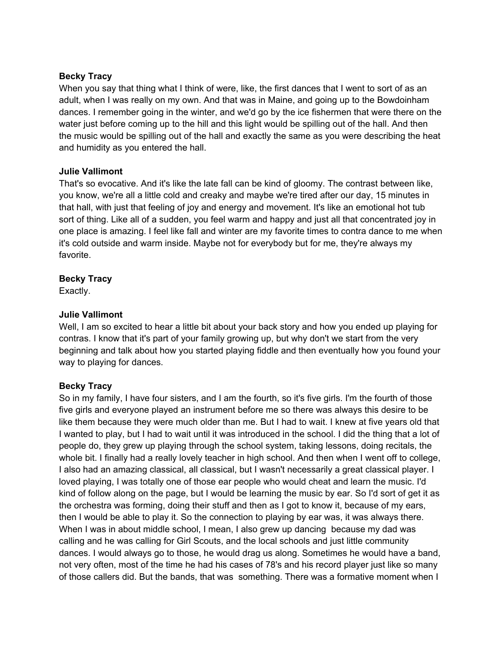When you say that thing what I think of were, like, the first dances that I went to sort of as an adult, when I was really on my own. And that was in Maine, and going up to the Bowdoinham dances. I remember going in the winter, and we'd go by the ice fishermen that were there on the water just before coming up to the hill and this light would be spilling out of the hall. And then the music would be spilling out of the hall and exactly the same as you were describing the heat and humidity as you entered the hall.

# **Julie Vallimont**

That's so evocative. And it's like the late fall can be kind of gloomy. The contrast between like, you know, we're all a little cold and creaky and maybe we're tired after our day, 15 minutes in that hall, with just that feeling of joy and energy and movement. It's like an emotional hot tub sort of thing. Like all of a sudden, you feel warm and happy and just all that concentrated joy in one place is amazing. I feel like fall and winter are my favorite times to contra dance to me when it's cold outside and warm inside. Maybe not for everybody but for me, they're always my favorite.

# **Becky Tracy**

Exactly.

# **Julie Vallimont**

Well, I am so excited to hear a little bit about your back story and how you ended up playing for contras. I know that it's part of your family growing up, but why don't we start from the very beginning and talk about how you started playing fiddle and then eventually how you found your way to playing for dances.

# **Becky Tracy**

So in my family, I have four sisters, and I am the fourth, so it's five girls. I'm the fourth of those five girls and everyone played an instrument before me so there was always this desire to be like them because they were much older than me. But I had to wait. I knew at five years old that I wanted to play, but I had to wait until it was introduced in the school. I did the thing that a lot of people do, they grew up playing through the school system, taking lessons, doing recitals, the whole bit. I finally had a really lovely teacher in high school. And then when I went off to college, I also had an amazing classical, all classical, but I wasn't necessarily a great classical player. I loved playing, I was totally one of those ear people who would cheat and learn the music. I'd kind of follow along on the page, but I would be learning the music by ear. So I'd sort of get it as the orchestra was forming, doing their stuff and then as I got to know it, because of my ears, then I would be able to play it. So the connection to playing by ear was, it was always there. When I was in about middle school, I mean, I also grew up dancing because my dad was calling and he was calling for Girl Scouts, and the local schools and just little community dances. I would always go to those, he would drag us along. Sometimes he would have a band, not very often, most of the time he had his cases of 78's and his record player just like so many of those callers did. But the bands, that was something. There was a formative moment when I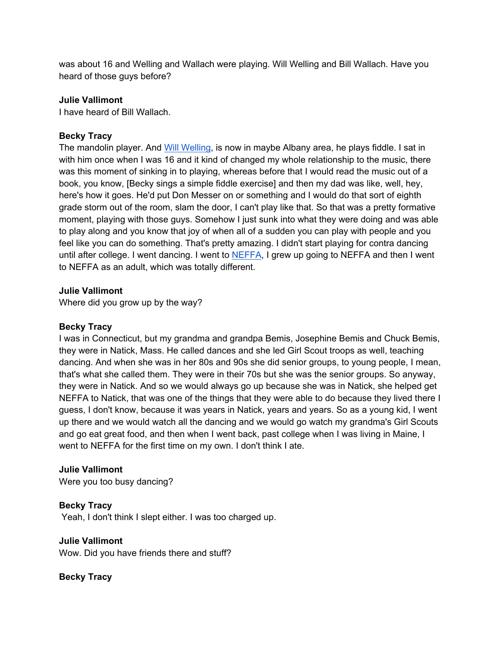was about 16 and Welling and Wallach were playing. Will Welling and Bill Wallach. Have you heard of those guys before?

#### **Julie Vallimont**

I have heard of Bill Wallach.

## **Becky Tracy**

The mandolin player. And Will Welling, is now in maybe Albany area, he plays fiddle. I sat in with him once when I was 16 and it kind of changed my whole relationship to the music, there was this moment of sinking in to playing, whereas before that I would read the music out of a book, you know, [Becky sings a simple fiddle exercise] and then my dad was like, well, hey, here's how it goes. He'd put Don Messer on or something and I would do that sort of eighth grade storm out of the room, slam the door, I can't play like that. So that was a pretty formative moment, playing with those guys. Somehow I just sunk into what they were doing and was able to play along and you know that joy of when all of a sudden you can play with people and you feel like you can do something. That's pretty amazing. I didn't start playing for contra dancing until after college. I went dancing. I went to NEFFA, I grew up going to NEFFA and then I went to NEFFA as an adult, which was totally different.

#### **Julie Vallimont**

Where did you grow up by the way?

#### **Becky Tracy**

I was in Connecticut, but my grandma and grandpa Bemis, Josephine Bemis and Chuck Bemis, they were in Natick, Mass. He called dances and she led Girl Scout troops as well, teaching dancing. And when she was in her 80s and 90s she did senior groups, to young people, I mean, that's what she called them. They were in their 70s but she was the senior groups. So anyway, they were in Natick. And so we would always go up because she was in Natick, she helped get NEFFA to Natick, that was one of the things that they were able to do because they lived there I guess, I don't know, because it was years in Natick, years and years. So as a young kid, I went up there and we would watch all the dancing and we would go watch my grandma's Girl Scouts and go eat great food, and then when I went back, past college when I was living in Maine, I went to NEFFA for the first time on my own. I don't think I ate.

#### **Julie Vallimont**

Were you too busy dancing?

## **Becky Tracy**

Yeah, I don't think I slept either. I was too charged up.

#### **Julie Vallimont**

Wow. Did you have friends there and stuff?

## **Becky Tracy**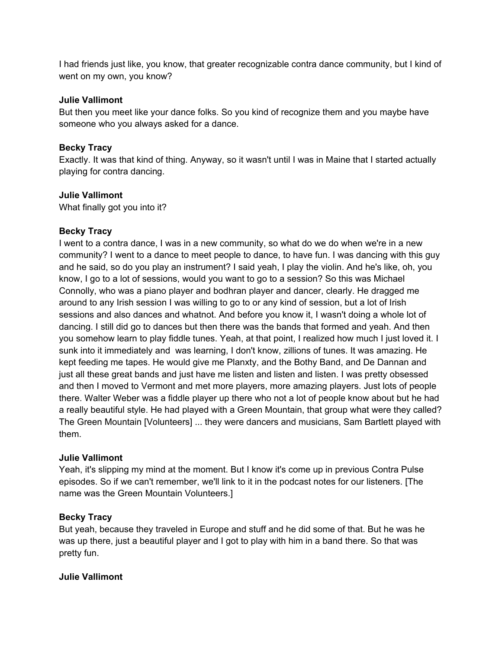I had friends just like, you know, that greater recognizable contra dance community, but I kind of went on my own, you know?

#### **Julie Vallimont**

But then you meet like your dance folks. So you kind of recognize them and you maybe have someone who you always asked for a dance.

## **Becky Tracy**

Exactly. It was that kind of thing. Anyway, so it wasn't until I was in Maine that I started actually playing for contra dancing.

## **Julie Vallimont**

What finally got you into it?

## **Becky Tracy**

I went to a contra dance, I was in a new community, so what do we do when we're in a new community? I went to a dance to meet people to dance, to have fun. I was dancing with this guy and he said, so do you play an instrument? I said yeah, I play the violin. And he's like, oh, you know, I go to a lot of sessions, would you want to go to a session? So this was Michael Connolly, who was a piano player and bodhran player and dancer, clearly. He dragged me around to any Irish session I was willing to go to or any kind of session, but a lot of Irish sessions and also dances and whatnot. And before you know it, I wasn't doing a whole lot of dancing. I still did go to dances but then there was the bands that formed and yeah. And then you somehow learn to play fiddle tunes. Yeah, at that point, I realized how much I just loved it. I sunk into it immediately and was learning, I don't know, zillions of tunes. It was amazing. He kept feeding me tapes. He would give me Planxty, and the Bothy Band, and De Dannan and just all these great bands and just have me listen and listen and listen. I was pretty obsessed and then I moved to Vermont and met more players, more amazing players. Just lots of people there. Walter Weber was a fiddle player up there who not a lot of people know about but he had a really beautiful style. He had played with a Green Mountain, that group what were they called? The Green Mountain [Volunteers] ... they were dancers and musicians, Sam Bartlett played with them.

## **Julie Vallimont**

Yeah, it's slipping my mind at the moment. But I know it's come up in previous Contra Pulse episodes. So if we can't remember, we'll link to it in the podcast notes for our listeners. [The name was the Green Mountain Volunteers.]

#### **Becky Tracy**

But yeah, because they traveled in Europe and stuff and he did some of that. But he was he was up there, just a beautiful player and I got to play with him in a band there. So that was pretty fun.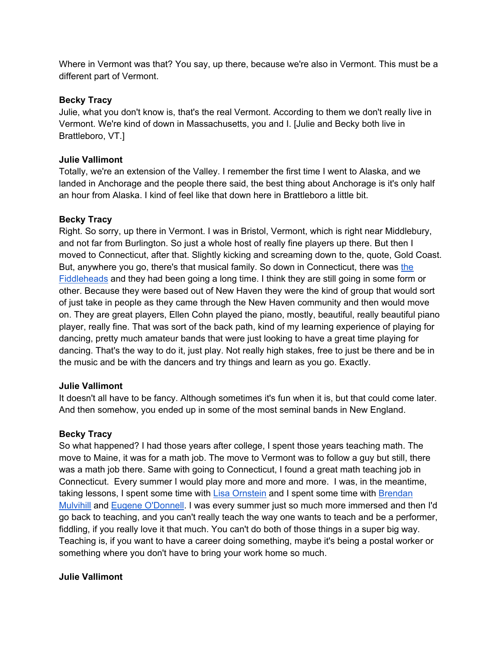Where in Vermont was that? You say, up there, because we're also in Vermont. This must be a different part of Vermont.

## **Becky Tracy**

Julie, what you don't know is, that's the real Vermont. According to them we don't really live in Vermont. We're kind of down in Massachusetts, you and I. [Julie and Becky both live in Brattleboro, VT.]

# **Julie Vallimont**

Totally, we're an extension of the Valley. I remember the first time I went to Alaska, and we landed in Anchorage and the people there said, the best thing about Anchorage is it's only half an hour from Alaska. I kind of feel like that down here in Brattleboro a little bit.

# **Becky Tracy**

Right. So sorry, up there in Vermont. I was in Bristol, Vermont, which is right near Middlebury, and not far from Burlington. So just a whole host of really fine players up there. But then I moved to Connecticut, after that. Slightly kicking and screaming down to the, quote, Gold Coast. But, anywhere you go, there's that musical family. So down in Connecticut, there was the Fiddleheads and they had been going a long time. I think they are still going in some form or other. Because they were based out of New Haven they were the kind of group that would sort of just take in people as they came through the New Haven community and then would move on. They are great players, Ellen Cohn played the piano, mostly, beautiful, really beautiful piano player, really fine. That was sort of the back path, kind of my learning experience of playing for dancing, pretty much amateur bands that were just looking to have a great time playing for dancing. That's the way to do it, just play. Not really high stakes, free to just be there and be in the music and be with the dancers and try things and learn as you go. Exactly.

## **Julie Vallimont**

It doesn't all have to be fancy. Although sometimes it's fun when it is, but that could come later. And then somehow, you ended up in some of the most seminal bands in New England.

## **Becky Tracy**

So what happened? I had those years after college, I spent those years teaching math. The move to Maine, it was for a math job. The move to Vermont was to follow a guy but still, there was a math job there. Same with going to Connecticut, I found a great math teaching job in Connecticut. Every summer I would play more and more and more. I was, in the meantime, taking lessons, I spent some time with Lisa Ornstein and I spent some time with Brendan Mulvihill and Eugene O'Donnell. I was every summer just so much more immersed and then I'd go back to teaching, and you can't really teach the way one wants to teach and be a performer, fiddling, if you really love it that much. You can't do both of those things in a super big way. Teaching is, if you want to have a career doing something, maybe it's being a postal worker or something where you don't have to bring your work home so much.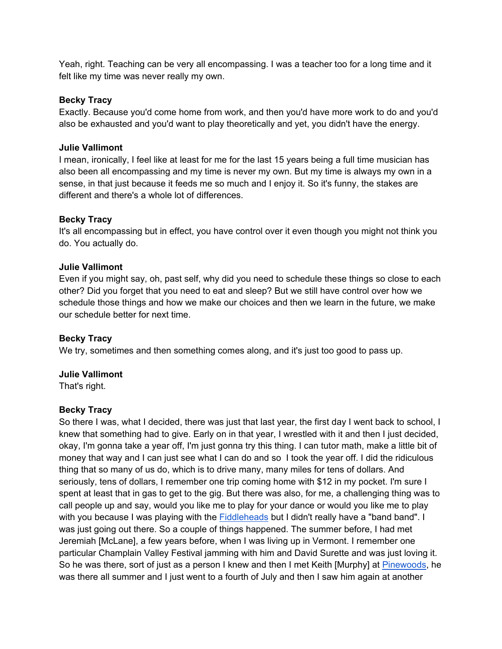Yeah, right. Teaching can be very all encompassing. I was a teacher too for a long time and it felt like my time was never really my own.

## **Becky Tracy**

Exactly. Because you'd come home from work, and then you'd have more work to do and you'd also be exhausted and you'd want to play theoretically and yet, you didn't have the energy.

## **Julie Vallimont**

I mean, ironically, I feel like at least for me for the last 15 years being a full time musician has also been all encompassing and my time is never my own. But my time is always my own in a sense, in that just because it feeds me so much and I enjoy it. So it's funny, the stakes are different and there's a whole lot of differences.

#### **Becky Tracy**

It's all encompassing but in effect, you have control over it even though you might not think you do. You actually do.

#### **Julie Vallimont**

Even if you might say, oh, past self, why did you need to schedule these things so close to each other? Did you forget that you need to eat and sleep? But we still have control over how we schedule those things and how we make our choices and then we learn in the future, we make our schedule better for next time.

## **Becky Tracy**

We try, sometimes and then something comes along, and it's just too good to pass up.

#### **Julie Vallimont**

That's right.

#### **Becky Tracy**

So there I was, what I decided, there was just that last year, the first day I went back to school, I knew that something had to give. Early on in that year, I wrestled with it and then I just decided, okay, I'm gonna take a year off, I'm just gonna try this thing. I can tutor math, make a little bit of money that way and I can just see what I can do and so I took the year off. I did the ridiculous thing that so many of us do, which is to drive many, many miles for tens of dollars. And seriously, tens of dollars, I remember one trip coming home with \$12 in my pocket. I'm sure I spent at least that in gas to get to the gig. But there was also, for me, a challenging thing was to call people up and say, would you like me to play for your dance or would you like me to play with you because I was playing with the Fiddleheads but I didn't really have a "band band". I was just going out there. So a couple of things happened. The summer before, I had met Jeremiah [McLane], a few years before, when I was living up in Vermont. I remember one particular Champlain Valley Festival jamming with him and David Surette and was just loving it. So he was there, sort of just as a person I knew and then I met Keith [Murphy] at Pinewoods, he was there all summer and I just went to a fourth of July and then I saw him again at another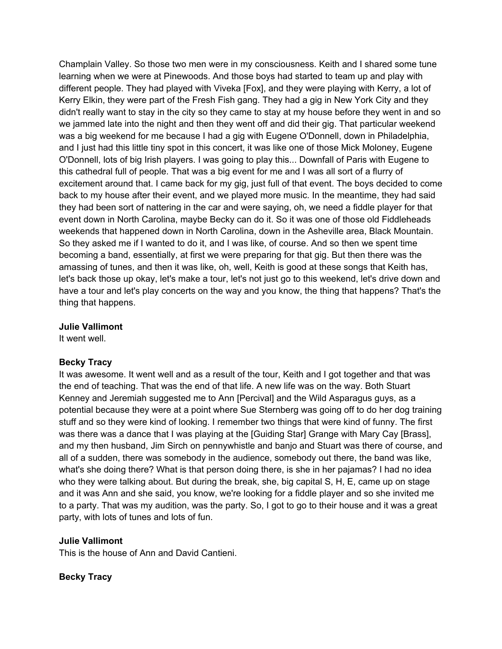Champlain Valley. So those two men were in my consciousness. Keith and I shared some tune learning when we were at Pinewoods. And those boys had started to team up and play with different people. They had played with Viveka [Fox], and they were playing with Kerry, a lot of Kerry Elkin, they were part of the Fresh Fish gang. They had a gig in New York City and they didn't really want to stay in the city so they came to stay at my house before they went in and so we jammed late into the night and then they went off and did their gig. That particular weekend was a big weekend for me because I had a gig with Eugene O'Donnell, down in Philadelphia, and I just had this little tiny spot in this concert, it was like one of those Mick Moloney, Eugene O'Donnell, lots of big Irish players. I was going to play this... Downfall of Paris with Eugene to this cathedral full of people. That was a big event for me and I was all sort of a flurry of excitement around that. I came back for my gig, just full of that event. The boys decided to come back to my house after their event, and we played more music. In the meantime, they had said they had been sort of nattering in the car and were saying, oh, we need a fiddle player for that event down in North Carolina, maybe Becky can do it. So it was one of those old Fiddleheads weekends that happened down in North Carolina, down in the Asheville area, Black Mountain. So they asked me if I wanted to do it, and I was like, of course. And so then we spent time becoming a band, essentially, at first we were preparing for that gig. But then there was the amassing of tunes, and then it was like, oh, well, Keith is good at these songs that Keith has, let's back those up okay, let's make a tour, let's not just go to this weekend, let's drive down and have a tour and let's play concerts on the way and you know, the thing that happens? That's the thing that happens.

#### **Julie Vallimont**

It went well.

## **Becky Tracy**

It was awesome. It went well and as a result of the tour, Keith and I got together and that was the end of teaching. That was the end of that life. A new life was on the way. Both Stuart Kenney and Jeremiah suggested me to Ann [Percival] and the Wild Asparagus guys, as a potential because they were at a point where Sue Sternberg was going off to do her dog training stuff and so they were kind of looking. I remember two things that were kind of funny. The first was there was a dance that I was playing at the [Guiding Star] Grange with Mary Cay [Brass], and my then husband, Jim Sirch on pennywhistle and banjo and Stuart was there of course, and all of a sudden, there was somebody in the audience, somebody out there, the band was like, what's she doing there? What is that person doing there, is she in her pajamas? I had no idea who they were talking about. But during the break, she, big capital S, H, E, came up on stage and it was Ann and she said, you know, we're looking for a fiddle player and so she invited me to a party. That was my audition, was the party. So, I got to go to their house and it was a great party, with lots of tunes and lots of fun.

## **Julie Vallimont**

This is the house of Ann and David Cantieni.

## **Becky Tracy**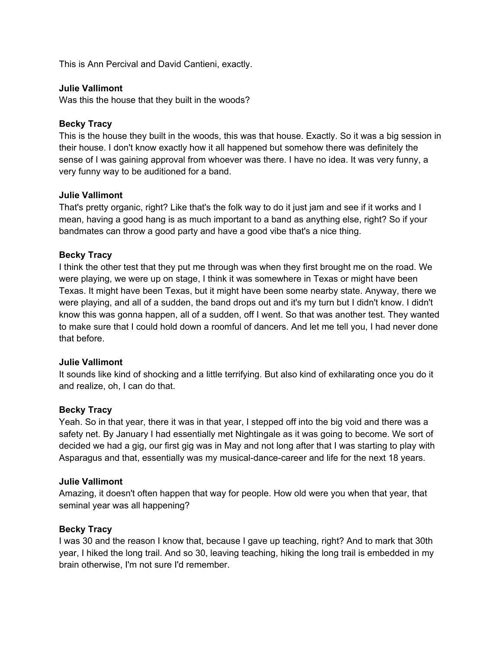This is Ann Percival and David Cantieni, exactly.

#### **Julie Vallimont**

Was this the house that they built in the woods?

#### **Becky Tracy**

This is the house they built in the woods, this was that house. Exactly. So it was a big session in their house. I don't know exactly how it all happened but somehow there was definitely the sense of I was gaining approval from whoever was there. I have no idea. It was very funny, a very funny way to be auditioned for a band.

#### **Julie Vallimont**

That's pretty organic, right? Like that's the folk way to do it just jam and see if it works and I mean, having a good hang is as much important to a band as anything else, right? So if your bandmates can throw a good party and have a good vibe that's a nice thing.

## **Becky Tracy**

I think the other test that they put me through was when they first brought me on the road. We were playing, we were up on stage, I think it was somewhere in Texas or might have been Texas. It might have been Texas, but it might have been some nearby state. Anyway, there we were playing, and all of a sudden, the band drops out and it's my turn but I didn't know. I didn't know this was gonna happen, all of a sudden, off I went. So that was another test. They wanted to make sure that I could hold down a roomful of dancers. And let me tell you, I had never done that before.

#### **Julie Vallimont**

It sounds like kind of shocking and a little terrifying. But also kind of exhilarating once you do it and realize, oh, I can do that.

#### **Becky Tracy**

Yeah. So in that year, there it was in that year, I stepped off into the big void and there was a safety net. By January I had essentially met Nightingale as it was going to become. We sort of decided we had a gig, our first gig was in May and not long after that I was starting to play with Asparagus and that, essentially was my musical-dance-career and life for the next 18 years.

#### **Julie Vallimont**

Amazing, it doesn't often happen that way for people. How old were you when that year, that seminal year was all happening?

## **Becky Tracy**

I was 30 and the reason I know that, because I gave up teaching, right? And to mark that 30th year, I hiked the long trail. And so 30, leaving teaching, hiking the long trail is embedded in my brain otherwise, I'm not sure I'd remember.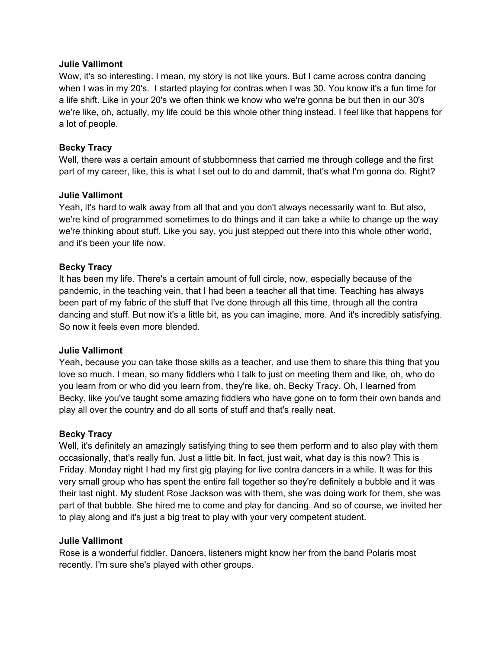Wow, it's so interesting. I mean, my story is not like yours. But I came across contra dancing when I was in my 20's. I started playing for contras when I was 30. You know it's a fun time for a life shift. Like in your 20's we often think we know who we're gonna be but then in our 30's we're like, oh, actually, my life could be this whole other thing instead. I feel like that happens for a lot of people.

## **Becky Tracy**

Well, there was a certain amount of stubbornness that carried me through college and the first part of my career, like, this is what I set out to do and dammit, that's what I'm gonna do. Right?

## **Julie Vallimont**

Yeah, it's hard to walk away from all that and you don't always necessarily want to. But also, we're kind of programmed sometimes to do things and it can take a while to change up the way we're thinking about stuff. Like you say, you just stepped out there into this whole other world, and it's been your life now.

# **Becky Tracy**

It has been my life. There's a certain amount of full circle, now, especially because of the pandemic, in the teaching vein, that I had been a teacher all that time. Teaching has always been part of my fabric of the stuff that I've done through all this time, through all the contra dancing and stuff. But now it's a little bit, as you can imagine, more. And it's incredibly satisfying. So now it feels even more blended.

## **Julie Vallimont**

Yeah, because you can take those skills as a teacher, and use them to share this thing that you love so much. I mean, so many fiddlers who I talk to just on meeting them and like, oh, who do you learn from or who did you learn from, they're like, oh, Becky Tracy. Oh, I learned from Becky, like you've taught some amazing fiddlers who have gone on to form their own bands and play all over the country and do all sorts of stuff and that's really neat.

## **Becky Tracy**

Well, it's definitely an amazingly satisfying thing to see them perform and to also play with them occasionally, that's really fun. Just a little bit. In fact, just wait, what day is this now? This is Friday. Monday night I had my first gig playing for live contra dancers in a while. It was for this very small group who has spent the entire fall together so they're definitely a bubble and it was their last night. My student Rose Jackson was with them, she was doing work for them, she was part of that bubble. She hired me to come and play for dancing. And so of course, we invited her to play along and it's just a big treat to play with your very competent student.

## **Julie Vallimont**

Rose is a wonderful fiddler. Dancers, listeners might know her from the band Polaris most recently. I'm sure she's played with other groups.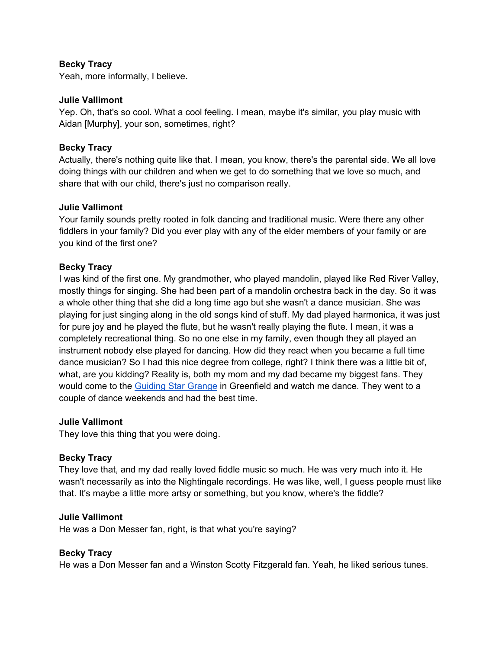Yeah, more informally, I believe.

#### **Julie Vallimont**

Yep. Oh, that's so cool. What a cool feeling. I mean, maybe it's similar, you play music with Aidan [Murphy], your son, sometimes, right?

#### **Becky Tracy**

Actually, there's nothing quite like that. I mean, you know, there's the parental side. We all love doing things with our children and when we get to do something that we love so much, and share that with our child, there's just no comparison really.

#### **Julie Vallimont**

Your family sounds pretty rooted in folk dancing and traditional music. Were there any other fiddlers in your family? Did you ever play with any of the elder members of your family or are you kind of the first one?

## **Becky Tracy**

I was kind of the first one. My grandmother, who played mandolin, played like Red River Valley, mostly things for singing. She had been part of a mandolin orchestra back in the day. So it was a whole other thing that she did a long time ago but she wasn't a dance musician. She was playing for just singing along in the old songs kind of stuff. My dad played harmonica, it was just for pure joy and he played the flute, but he wasn't really playing the flute. I mean, it was a completely recreational thing. So no one else in my family, even though they all played an instrument nobody else played for dancing. How did they react when you became a full time dance musician? So I had this nice degree from college, right? I think there was a little bit of, what, are you kidding? Reality is, both my mom and my dad became my biggest fans. They would come to the Guiding Star Grange in Greenfield and watch me dance. They went to a couple of dance weekends and had the best time.

#### **Julie Vallimont**

They love this thing that you were doing.

## **Becky Tracy**

They love that, and my dad really loved fiddle music so much. He was very much into it. He wasn't necessarily as into the Nightingale recordings. He was like, well, I guess people must like that. It's maybe a little more artsy or something, but you know, where's the fiddle?

#### **Julie Vallimont**

He was a Don Messer fan, right, is that what you're saying?

## **Becky Tracy**

He was a Don Messer fan and a Winston Scotty Fitzgerald fan. Yeah, he liked serious tunes.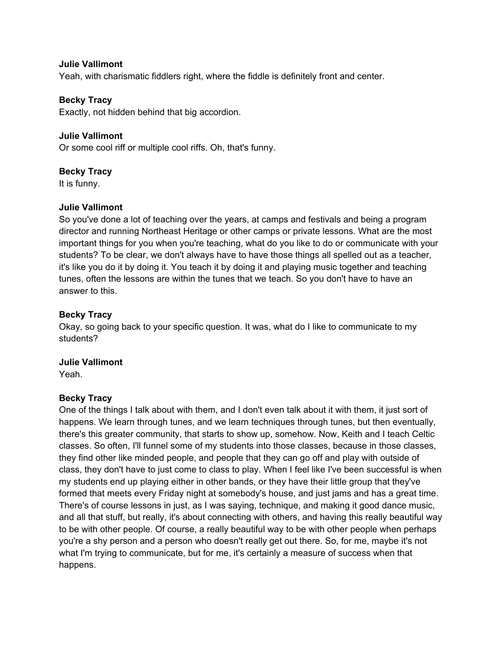Yeah, with charismatic fiddlers right, where the fiddle is definitely front and center.

#### **Becky Tracy**

Exactly, not hidden behind that big accordion.

#### **Julie Vallimont**

Or some cool riff or multiple cool riffs. Oh, that's funny.

#### **Becky Tracy**

It is funny.

#### **Julie Vallimont**

So you've done a lot of teaching over the years, at camps and festivals and being a program director and running Northeast Heritage or other camps or private lessons. What are the most important things for you when you're teaching, what do you like to do or communicate with your students? To be clear, we don't always have to have those things all spelled out as a teacher, it's like you do it by doing it. You teach it by doing it and playing music together and teaching tunes, often the lessons are within the tunes that we teach. So you don't have to have an answer to this.

#### **Becky Tracy**

Okay, so going back to your specific question. It was, what do I like to communicate to my students?

# **Julie Vallimont**

Yeah.

#### **Becky Tracy**

One of the things I talk about with them, and I don't even talk about it with them, it just sort of happens. We learn through tunes, and we learn techniques through tunes, but then eventually, there's this greater community, that starts to show up, somehow. Now, Keith and I teach Celtic classes. So often, I'll funnel some of my students into those classes, because in those classes, they find other like minded people, and people that they can go off and play with outside of class, they don't have to just come to class to play. When I feel like I've been successful is when my students end up playing either in other bands, or they have their little group that they've formed that meets every Friday night at somebody's house, and just jams and has a great time. There's of course lessons in just, as I was saying, technique, and making it good dance music, and all that stuff, but really, it's about connecting with others, and having this really beautiful way to be with other people. Of course, a really beautiful way to be with other people when perhaps you're a shy person and a person who doesn't really get out there. So, for me, maybe it's not what I'm trying to communicate, but for me, it's certainly a measure of success when that happens.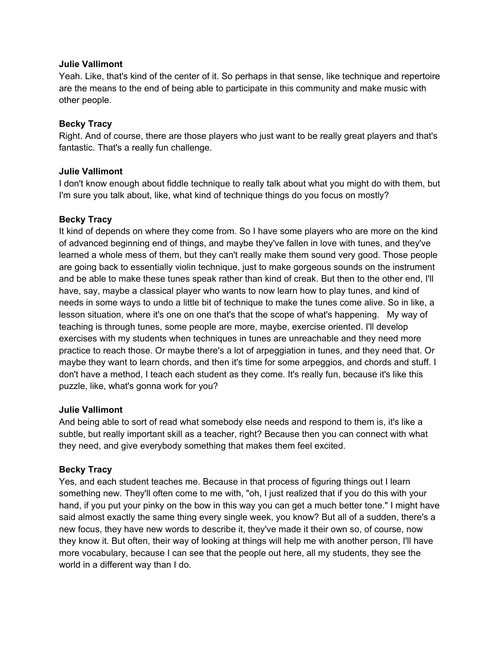Yeah. Like, that's kind of the center of it. So perhaps in that sense, like technique and repertoire are the means to the end of being able to participate in this community and make music with other people.

## **Becky Tracy**

Right. And of course, there are those players who just want to be really great players and that's fantastic. That's a really fun challenge.

# **Julie Vallimont**

I don't know enough about fiddle technique to really talk about what you might do with them, but I'm sure you talk about, like, what kind of technique things do you focus on mostly?

# **Becky Tracy**

It kind of depends on where they come from. So I have some players who are more on the kind of advanced beginning end of things, and maybe they've fallen in love with tunes, and they've learned a whole mess of them, but they can't really make them sound very good. Those people are going back to essentially violin technique, just to make gorgeous sounds on the instrument and be able to make these tunes speak rather than kind of creak. But then to the other end, I'll have, say, maybe a classical player who wants to now learn how to play tunes, and kind of needs in some ways to undo a little bit of technique to make the tunes come alive. So in like, a lesson situation, where it's one on one that's that the scope of what's happening. My way of teaching is through tunes, some people are more, maybe, exercise oriented. I'll develop exercises with my students when techniques in tunes are unreachable and they need more practice to reach those. Or maybe there's a lot of arpeggiation in tunes, and they need that. Or maybe they want to learn chords, and then it's time for some arpeggios, and chords and stuff. I don't have a method, I teach each student as they come. It's really fun, because it's like this puzzle, like, what's gonna work for you?

## **Julie Vallimont**

And being able to sort of read what somebody else needs and respond to them is, it's like a subtle, but really important skill as a teacher, right? Because then you can connect with what they need, and give everybody something that makes them feel excited.

# **Becky Tracy**

Yes, and each student teaches me. Because in that process of figuring things out I learn something new. They'll often come to me with, "oh, I just realized that if you do this with your hand, if you put your pinky on the bow in this way you can get a much better tone." I might have said almost exactly the same thing every single week, you know? But all of a sudden, there's a new focus, they have new words to describe it, they've made it their own so, of course, now they know it. But often, their way of looking at things will help me with another person, I'll have more vocabulary, because I can see that the people out here, all my students, they see the world in a different way than I do.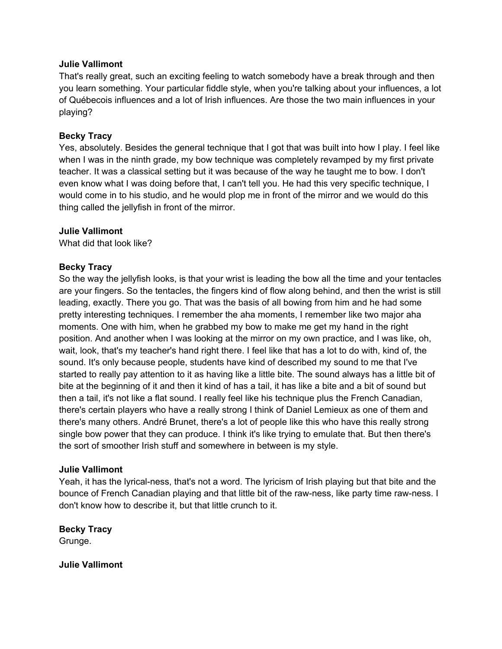That's really great, such an exciting feeling to watch somebody have a break through and then you learn something. Your particular fiddle style, when you're talking about your influences, a lot of Québecois influences and a lot of Irish influences. Are those the two main influences in your playing?

#### **Becky Tracy**

Yes, absolutely. Besides the general technique that I got that was built into how I play. I feel like when I was in the ninth grade, my bow technique was completely revamped by my first private teacher. It was a classical setting but it was because of the way he taught me to bow. I don't even know what I was doing before that, I can't tell you. He had this very specific technique, I would come in to his studio, and he would plop me in front of the mirror and we would do this thing called the jellyfish in front of the mirror.

#### **Julie Vallimont**

What did that look like?

#### **Becky Tracy**

So the way the jellyfish looks, is that your wrist is leading the bow all the time and your tentacles are your fingers. So the tentacles, the fingers kind of flow along behind, and then the wrist is still leading, exactly. There you go. That was the basis of all bowing from him and he had some pretty interesting techniques. I remember the aha moments, I remember like two major aha moments. One with him, when he grabbed my bow to make me get my hand in the right position. And another when I was looking at the mirror on my own practice, and I was like, oh, wait, look, that's my teacher's hand right there. I feel like that has a lot to do with, kind of, the sound. It's only because people, students have kind of described my sound to me that I've started to really pay attention to it as having like a little bite. The sound always has a little bit of bite at the beginning of it and then it kind of has a tail, it has like a bite and a bit of sound but then a tail, it's not like a flat sound. I really feel like his technique plus the French Canadian, there's certain players who have a really strong I think of Daniel Lemieux as one of them and there's many others. André Brunet, there's a lot of people like this who have this really strong single bow power that they can produce. I think it's like trying to emulate that. But then there's the sort of smoother Irish stuff and somewhere in between is my style.

#### **Julie Vallimont**

Yeah, it has the lyrical-ness, that's not a word. The lyricism of Irish playing but that bite and the bounce of French Canadian playing and that little bit of the raw-ness, like party time raw-ness. I don't know how to describe it, but that little crunch to it.

**Becky Tracy**  Grunge.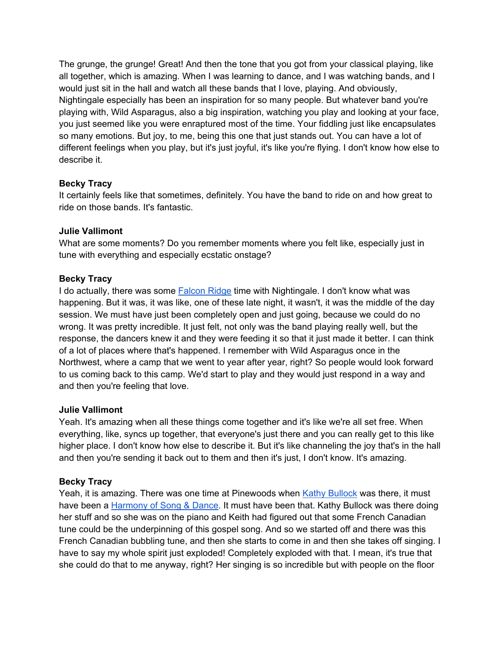The grunge, the grunge! Great! And then the tone that you got from your classical playing, like all together, which is amazing. When I was learning to dance, and I was watching bands, and I would just sit in the hall and watch all these bands that I love, playing. And obviously, Nightingale especially has been an inspiration for so many people. But whatever band you're playing with, Wild Asparagus, also a big inspiration, watching you play and looking at your face, you just seemed like you were enraptured most of the time. Your fiddling just like encapsulates so many emotions. But joy, to me, being this one that just stands out. You can have a lot of different feelings when you play, but it's just joyful, it's like you're flying. I don't know how else to describe it.

# **Becky Tracy**

It certainly feels like that sometimes, definitely. You have the band to ride on and how great to ride on those bands. It's fantastic.

## **Julie Vallimont**

What are some moments? Do you remember moments where you felt like, especially just in tune with everything and especially ecstatic onstage?

# **Becky Tracy**

I do actually, there was some Falcon Ridge time with Nightingale. I don't know what was happening. But it was, it was like, one of these late night, it wasn't, it was the middle of the day session. We must have just been completely open and just going, because we could do no wrong. It was pretty incredible. It just felt, not only was the band playing really well, but the response, the dancers knew it and they were feeding it so that it just made it better. I can think of a lot of places where that's happened. I remember with Wild Asparagus once in the Northwest, where a camp that we went to year after year, right? So people would look forward to us coming back to this camp. We'd start to play and they would just respond in a way and and then you're feeling that love.

## **Julie Vallimont**

Yeah. It's amazing when all these things come together and it's like we're all set free. When everything, like, syncs up together, that everyone's just there and you can really get to this like higher place. I don't know how else to describe it. But it's like channeling the joy that's in the hall and then you're sending it back out to them and then it's just, I don't know. It's amazing.

# **Becky Tracy**

Yeah, it is amazing. There was one time at Pinewoods when Kathy Bullock was there, it must have been a Harmony of Song & Dance. It must have been that. Kathy Bullock was there doing her stuff and so she was on the piano and Keith had figured out that some French Canadian tune could be the underpinning of this gospel song. And so we started off and there was this French Canadian bubbling tune, and then she starts to come in and then she takes off singing. I have to say my whole spirit just exploded! Completely exploded with that. I mean, it's true that she could do that to me anyway, right? Her singing is so incredible but with people on the floor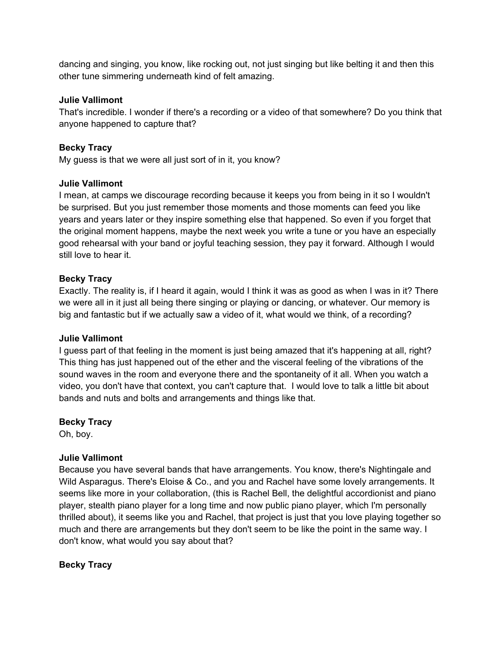dancing and singing, you know, like rocking out, not just singing but like belting it and then this other tune simmering underneath kind of felt amazing.

## **Julie Vallimont**

That's incredible. I wonder if there's a recording or a video of that somewhere? Do you think that anyone happened to capture that?

## **Becky Tracy**

My guess is that we were all just sort of in it, you know?

#### **Julie Vallimont**

I mean, at camps we discourage recording because it keeps you from being in it so I wouldn't be surprised. But you just remember those moments and those moments can feed you like years and years later or they inspire something else that happened. So even if you forget that the original moment happens, maybe the next week you write a tune or you have an especially good rehearsal with your band or joyful teaching session, they pay it forward. Although I would still love to hear it.

#### **Becky Tracy**

Exactly. The reality is, if I heard it again, would I think it was as good as when I was in it? There we were all in it just all being there singing or playing or dancing, or whatever. Our memory is big and fantastic but if we actually saw a video of it, what would we think, of a recording?

#### **Julie Vallimont**

I guess part of that feeling in the moment is just being amazed that it's happening at all, right? This thing has just happened out of the ether and the visceral feeling of the vibrations of the sound waves in the room and everyone there and the spontaneity of it all. When you watch a video, you don't have that context, you can't capture that. I would love to talk a little bit about bands and nuts and bolts and arrangements and things like that.

## **Becky Tracy**

Oh, boy.

## **Julie Vallimont**

Because you have several bands that have arrangements. You know, there's Nightingale and Wild Asparagus. There's Eloise & Co., and you and Rachel have some lovely arrangements. It seems like more in your collaboration, (this is Rachel Bell, the delightful accordionist and piano player, stealth piano player for a long time and now public piano player, which I'm personally thrilled about), it seems like you and Rachel, that project is just that you love playing together so much and there are arrangements but they don't seem to be like the point in the same way. I don't know, what would you say about that?

## **Becky Tracy**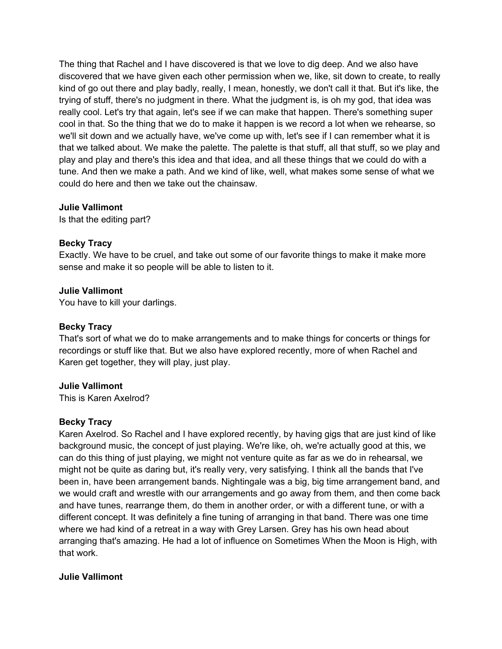The thing that Rachel and I have discovered is that we love to dig deep. And we also have discovered that we have given each other permission when we, like, sit down to create, to really kind of go out there and play badly, really, I mean, honestly, we don't call it that. But it's like, the trying of stuff, there's no judgment in there. What the judgment is, is oh my god, that idea was really cool. Let's try that again, let's see if we can make that happen. There's something super cool in that. So the thing that we do to make it happen is we record a lot when we rehearse, so we'll sit down and we actually have, we've come up with, let's see if I can remember what it is that we talked about. We make the palette. The palette is that stuff, all that stuff, so we play and play and play and there's this idea and that idea, and all these things that we could do with a tune. And then we make a path. And we kind of like, well, what makes some sense of what we could do here and then we take out the chainsaw.

#### **Julie Vallimont**

Is that the editing part?

#### **Becky Tracy**

Exactly. We have to be cruel, and take out some of our favorite things to make it make more sense and make it so people will be able to listen to it.

#### **Julie Vallimont**

You have to kill your darlings.

#### **Becky Tracy**

That's sort of what we do to make arrangements and to make things for concerts or things for recordings or stuff like that. But we also have explored recently, more of when Rachel and Karen get together, they will play, just play.

#### **Julie Vallimont**

This is Karen Axelrod?

## **Becky Tracy**

Karen Axelrod. So Rachel and I have explored recently, by having gigs that are just kind of like background music, the concept of just playing. We're like, oh, we're actually good at this, we can do this thing of just playing, we might not venture quite as far as we do in rehearsal, we might not be quite as daring but, it's really very, very satisfying. I think all the bands that I've been in, have been arrangement bands. Nightingale was a big, big time arrangement band, and we would craft and wrestle with our arrangements and go away from them, and then come back and have tunes, rearrange them, do them in another order, or with a different tune, or with a different concept. It was definitely a fine tuning of arranging in that band. There was one time where we had kind of a retreat in a way with Grey Larsen. Grey has his own head about arranging that's amazing. He had a lot of influence on Sometimes When the Moon is High, with that work.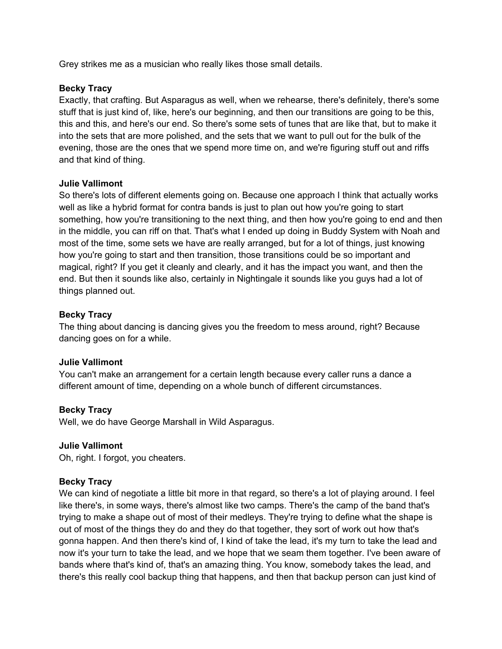Grey strikes me as a musician who really likes those small details.

## **Becky Tracy**

Exactly, that crafting. But Asparagus as well, when we rehearse, there's definitely, there's some stuff that is just kind of, like, here's our beginning, and then our transitions are going to be this, this and this, and here's our end. So there's some sets of tunes that are like that, but to make it into the sets that are more polished, and the sets that we want to pull out for the bulk of the evening, those are the ones that we spend more time on, and we're figuring stuff out and riffs and that kind of thing.

#### **Julie Vallimont**

So there's lots of different elements going on. Because one approach I think that actually works well as like a hybrid format for contra bands is just to plan out how you're going to start something, how you're transitioning to the next thing, and then how you're going to end and then in the middle, you can riff on that. That's what I ended up doing in Buddy System with Noah and most of the time, some sets we have are really arranged, but for a lot of things, just knowing how you're going to start and then transition, those transitions could be so important and magical, right? If you get it cleanly and clearly, and it has the impact you want, and then the end. But then it sounds like also, certainly in Nightingale it sounds like you guys had a lot of things planned out.

#### **Becky Tracy**

The thing about dancing is dancing gives you the freedom to mess around, right? Because dancing goes on for a while.

#### **Julie Vallimont**

You can't make an arrangement for a certain length because every caller runs a dance a different amount of time, depending on a whole bunch of different circumstances.

## **Becky Tracy**

Well, we do have George Marshall in Wild Asparagus.

## **Julie Vallimont**

Oh, right. I forgot, you cheaters.

## **Becky Tracy**

We can kind of negotiate a little bit more in that regard, so there's a lot of playing around. I feel like there's, in some ways, there's almost like two camps. There's the camp of the band that's trying to make a shape out of most of their medleys. They're trying to define what the shape is out of most of the things they do and they do that together, they sort of work out how that's gonna happen. And then there's kind of, I kind of take the lead, it's my turn to take the lead and now it's your turn to take the lead, and we hope that we seam them together. I've been aware of bands where that's kind of, that's an amazing thing. You know, somebody takes the lead, and there's this really cool backup thing that happens, and then that backup person can just kind of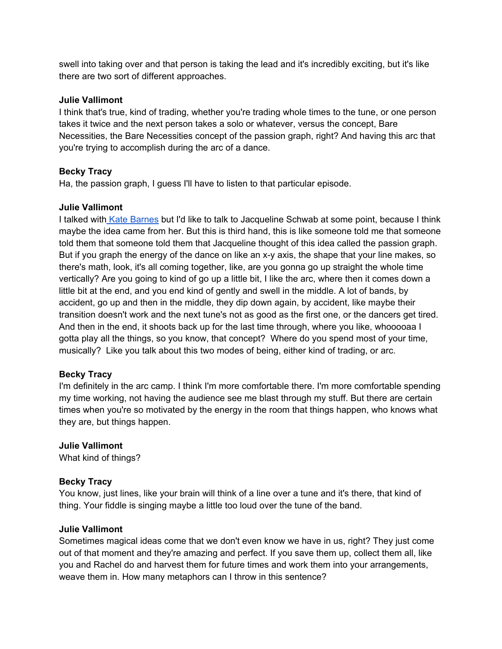swell into taking over and that person is taking the lead and it's incredibly exciting, but it's like there are two sort of different approaches.

## **Julie Vallimont**

I think that's true, kind of trading, whether you're trading whole times to the tune, or one person takes it twice and the next person takes a solo or whatever, versus the concept, Bare Necessities, the Bare Necessities concept of the passion graph, right? And having this arc that you're trying to accomplish during the arc of a dance.

## **Becky Tracy**

Ha, the passion graph, I guess I'll have to listen to that particular episode.

## **Julie Vallimont**

I talked with Kate Barnes but I'd like to talk to Jacqueline Schwab at some point, because I think maybe the idea came from her. But this is third hand, this is like someone told me that someone told them that someone told them that Jacqueline thought of this idea called the passion graph. But if you graph the energy of the dance on like an x-y axis, the shape that your line makes, so there's math, look, it's all coming together, like, are you gonna go up straight the whole time vertically? Are you going to kind of go up a little bit, I like the arc, where then it comes down a little bit at the end, and you end kind of gently and swell in the middle. A lot of bands, by accident, go up and then in the middle, they dip down again, by accident, like maybe their transition doesn't work and the next tune's not as good as the first one, or the dancers get tired. And then in the end, it shoots back up for the last time through, where you like, whooooaa I gotta play all the things, so you know, that concept? Where do you spend most of your time, musically? Like you talk about this two modes of being, either kind of trading, or arc.

## **Becky Tracy**

I'm definitely in the arc camp. I think I'm more comfortable there. I'm more comfortable spending my time working, not having the audience see me blast through my stuff. But there are certain times when you're so motivated by the energy in the room that things happen, who knows what they are, but things happen.

## **Julie Vallimont**

What kind of things?

## **Becky Tracy**

You know, just lines, like your brain will think of a line over a tune and it's there, that kind of thing. Your fiddle is singing maybe a little too loud over the tune of the band.

## **Julie Vallimont**

Sometimes magical ideas come that we don't even know we have in us, right? They just come out of that moment and they're amazing and perfect. If you save them up, collect them all, like you and Rachel do and harvest them for future times and work them into your arrangements, weave them in. How many metaphors can I throw in this sentence?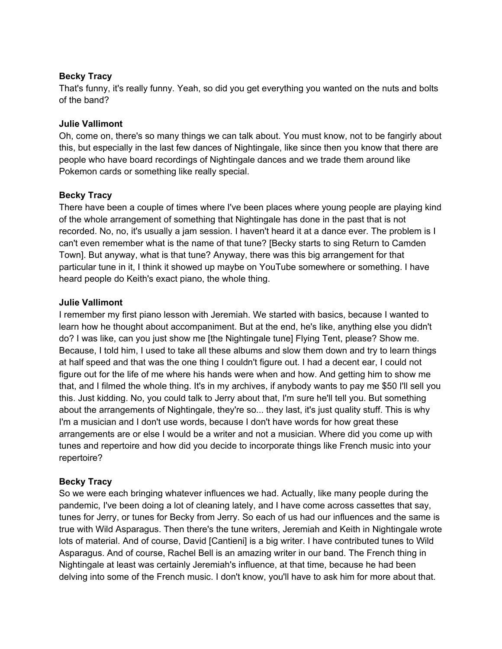That's funny, it's really funny. Yeah, so did you get everything you wanted on the nuts and bolts of the band?

## **Julie Vallimont**

Oh, come on, there's so many things we can talk about. You must know, not to be fangirly about this, but especially in the last few dances of Nightingale, like since then you know that there are people who have board recordings of Nightingale dances and we trade them around like Pokemon cards or something like really special.

# **Becky Tracy**

There have been a couple of times where I've been places where young people are playing kind of the whole arrangement of something that Nightingale has done in the past that is not recorded. No, no, it's usually a jam session. I haven't heard it at a dance ever. The problem is I can't even remember what is the name of that tune? [Becky starts to sing Return to Camden Town]. But anyway, what is that tune? Anyway, there was this big arrangement for that particular tune in it, I think it showed up maybe on YouTube somewhere or something. I have heard people do Keith's exact piano, the whole thing.

# **Julie Vallimont**

I remember my first piano lesson with Jeremiah. We started with basics, because I wanted to learn how he thought about accompaniment. But at the end, he's like, anything else you didn't do? I was like, can you just show me [the Nightingale tune] Flying Tent, please? Show me. Because, I told him, I used to take all these albums and slow them down and try to learn things at half speed and that was the one thing I couldn't figure out. I had a decent ear, I could not figure out for the life of me where his hands were when and how. And getting him to show me that, and I filmed the whole thing. It's in my archives, if anybody wants to pay me \$50 I'll sell you this. Just kidding. No, you could talk to Jerry about that, I'm sure he'll tell you. But something about the arrangements of Nightingale, they're so... they last, it's just quality stuff. This is why I'm a musician and I don't use words, because I don't have words for how great these arrangements are or else I would be a writer and not a musician. Where did you come up with tunes and repertoire and how did you decide to incorporate things like French music into your repertoire?

# **Becky Tracy**

So we were each bringing whatever influences we had. Actually, like many people during the pandemic, I've been doing a lot of cleaning lately, and I have come across cassettes that say, tunes for Jerry, or tunes for Becky from Jerry. So each of us had our influences and the same is true with Wild Asparagus. Then there's the tune writers, Jeremiah and Keith in Nightingale wrote lots of material. And of course, David [Cantieni] is a big writer. I have contributed tunes to Wild Asparagus. And of course, Rachel Bell is an amazing writer in our band. The French thing in Nightingale at least was certainly Jeremiah's influence, at that time, because he had been delving into some of the French music. I don't know, you'll have to ask him for more about that.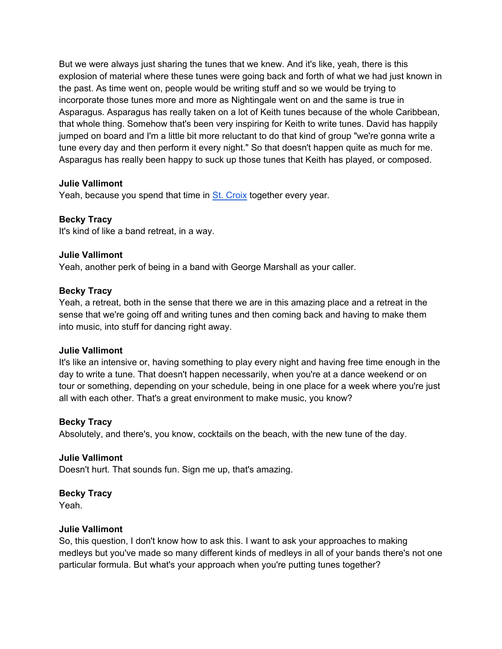But we were always just sharing the tunes that we knew. And it's like, yeah, there is this explosion of material where these tunes were going back and forth of what we had just known in the past. As time went on, people would be writing stuff and so we would be trying to incorporate those tunes more and more as Nightingale went on and the same is true in Asparagus. Asparagus has really taken on a lot of Keith tunes because of the whole Caribbean, that whole thing. Somehow that's been very inspiring for Keith to write tunes. David has happily jumped on board and I'm a little bit more reluctant to do that kind of group "we're gonna write a tune every day and then perform it every night." So that doesn't happen quite as much for me. Asparagus has really been happy to suck up those tunes that Keith has played, or composed.

## **Julie Vallimont**

Yeah, because you spend that time in St. Croix together every year.

## **Becky Tracy**

It's kind of like a band retreat, in a way.

#### **Julie Vallimont**

Yeah, another perk of being in a band with George Marshall as your caller.

#### **Becky Tracy**

Yeah, a retreat, both in the sense that there we are in this amazing place and a retreat in the sense that we're going off and writing tunes and then coming back and having to make them into music, into stuff for dancing right away.

#### **Julie Vallimont**

It's like an intensive or, having something to play every night and having free time enough in the day to write a tune. That doesn't happen necessarily, when you're at a dance weekend or on tour or something, depending on your schedule, being in one place for a week where you're just all with each other. That's a great environment to make music, you know?

#### **Becky Tracy**

Absolutely, and there's, you know, cocktails on the beach, with the new tune of the day.

## **Julie Vallimont**

Doesn't hurt. That sounds fun. Sign me up, that's amazing.

#### **Becky Tracy**

Yeah.

#### **Julie Vallimont**

So, this question, I don't know how to ask this. I want to ask your approaches to making medleys but you've made so many different kinds of medleys in all of your bands there's not one particular formula. But what's your approach when you're putting tunes together?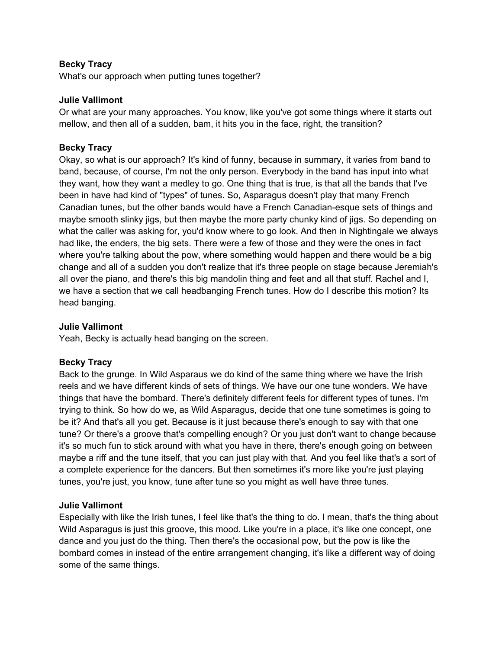What's our approach when putting tunes together?

#### **Julie Vallimont**

Or what are your many approaches. You know, like you've got some things where it starts out mellow, and then all of a sudden, bam, it hits you in the face, right, the transition?

## **Becky Tracy**

Okay, so what is our approach? It's kind of funny, because in summary, it varies from band to band, because, of course, I'm not the only person. Everybody in the band has input into what they want, how they want a medley to go. One thing that is true, is that all the bands that I've been in have had kind of "types" of tunes. So, Asparagus doesn't play that many French Canadian tunes, but the other bands would have a French Canadian-esque sets of things and maybe smooth slinky jigs, but then maybe the more party chunky kind of jigs. So depending on what the caller was asking for, you'd know where to go look. And then in Nightingale we always had like, the enders, the big sets. There were a few of those and they were the ones in fact where you're talking about the pow, where something would happen and there would be a big change and all of a sudden you don't realize that it's three people on stage because Jeremiah's all over the piano, and there's this big mandolin thing and feet and all that stuff. Rachel and I, we have a section that we call headbanging French tunes. How do I describe this motion? Its head banging.

## **Julie Vallimont**

Yeah, Becky is actually head banging on the screen.

## **Becky Tracy**

Back to the grunge. In Wild Asparaus we do kind of the same thing where we have the Irish reels and we have different kinds of sets of things. We have our one tune wonders. We have things that have the bombard. There's definitely different feels for different types of tunes. I'm trying to think. So how do we, as Wild Asparagus, decide that one tune sometimes is going to be it? And that's all you get. Because is it just because there's enough to say with that one tune? Or there's a groove that's compelling enough? Or you just don't want to change because it's so much fun to stick around with what you have in there, there's enough going on between maybe a riff and the tune itself, that you can just play with that. And you feel like that's a sort of a complete experience for the dancers. But then sometimes it's more like you're just playing tunes, you're just, you know, tune after tune so you might as well have three tunes.

## **Julie Vallimont**

Especially with like the Irish tunes, I feel like that's the thing to do. I mean, that's the thing about Wild Asparagus is just this groove, this mood. Like you're in a place, it's like one concept, one dance and you just do the thing. Then there's the occasional pow, but the pow is like the bombard comes in instead of the entire arrangement changing, it's like a different way of doing some of the same things.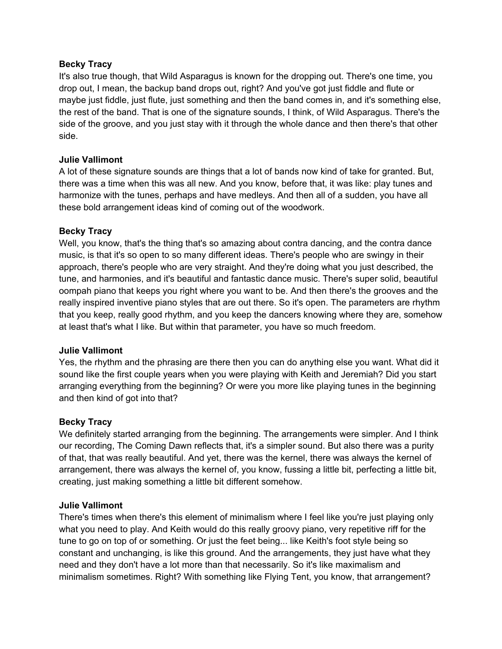It's also true though, that Wild Asparagus is known for the dropping out. There's one time, you drop out, I mean, the backup band drops out, right? And you've got just fiddle and flute or maybe just fiddle, just flute, just something and then the band comes in, and it's something else, the rest of the band. That is one of the signature sounds, I think, of Wild Asparagus. There's the side of the groove, and you just stay with it through the whole dance and then there's that other side.

# **Julie Vallimont**

A lot of these signature sounds are things that a lot of bands now kind of take for granted. But, there was a time when this was all new. And you know, before that, it was like: play tunes and harmonize with the tunes, perhaps and have medleys. And then all of a sudden, you have all these bold arrangement ideas kind of coming out of the woodwork.

# **Becky Tracy**

Well, you know, that's the thing that's so amazing about contra dancing, and the contra dance music, is that it's so open to so many different ideas. There's people who are swingy in their approach, there's people who are very straight. And they're doing what you just described, the tune, and harmonies, and it's beautiful and fantastic dance music. There's super solid, beautiful oompah piano that keeps you right where you want to be. And then there's the grooves and the really inspired inventive piano styles that are out there. So it's open. The parameters are rhythm that you keep, really good rhythm, and you keep the dancers knowing where they are, somehow at least that's what I like. But within that parameter, you have so much freedom.

## **Julie Vallimont**

Yes, the rhythm and the phrasing are there then you can do anything else you want. What did it sound like the first couple years when you were playing with Keith and Jeremiah? Did you start arranging everything from the beginning? Or were you more like playing tunes in the beginning and then kind of got into that?

## **Becky Tracy**

We definitely started arranging from the beginning. The arrangements were simpler. And I think our recording, The Coming Dawn reflects that, it's a simpler sound. But also there was a purity of that, that was really beautiful. And yet, there was the kernel, there was always the kernel of arrangement, there was always the kernel of, you know, fussing a little bit, perfecting a little bit, creating, just making something a little bit different somehow.

## **Julie Vallimont**

There's times when there's this element of minimalism where I feel like you're just playing only what you need to play. And Keith would do this really groovy piano, very repetitive riff for the tune to go on top of or something. Or just the feet being... like Keith's foot style being so constant and unchanging, is like this ground. And the arrangements, they just have what they need and they don't have a lot more than that necessarily. So it's like maximalism and minimalism sometimes. Right? With something like Flying Tent, you know, that arrangement?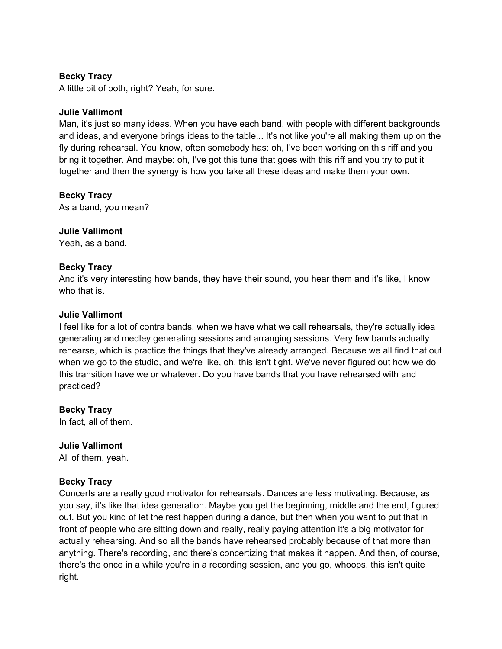A little bit of both, right? Yeah, for sure.

#### **Julie Vallimont**

Man, it's just so many ideas. When you have each band, with people with different backgrounds and ideas, and everyone brings ideas to the table... It's not like you're all making them up on the fly during rehearsal. You know, often somebody has: oh, I've been working on this riff and you bring it together. And maybe: oh, I've got this tune that goes with this riff and you try to put it together and then the synergy is how you take all these ideas and make them your own.

## **Becky Tracy**

As a band, you mean?

## **Julie Vallimont**

Yeah, as a band.

## **Becky Tracy**

And it's very interesting how bands, they have their sound, you hear them and it's like, I know who that is.

#### **Julie Vallimont**

I feel like for a lot of contra bands, when we have what we call rehearsals, they're actually idea generating and medley generating sessions and arranging sessions. Very few bands actually rehearse, which is practice the things that they've already arranged. Because we all find that out when we go to the studio, and we're like, oh, this isn't tight. We've never figured out how we do this transition have we or whatever. Do you have bands that you have rehearsed with and practiced?

**Becky Tracy**  In fact, all of them.

# **Julie Vallimont**

All of them, yeah.

## **Becky Tracy**

Concerts are a really good motivator for rehearsals. Dances are less motivating. Because, as you say, it's like that idea generation. Maybe you get the beginning, middle and the end, figured out. But you kind of let the rest happen during a dance, but then when you want to put that in front of people who are sitting down and really, really paying attention it's a big motivator for actually rehearsing. And so all the bands have rehearsed probably because of that more than anything. There's recording, and there's concertizing that makes it happen. And then, of course, there's the once in a while you're in a recording session, and you go, whoops, this isn't quite right.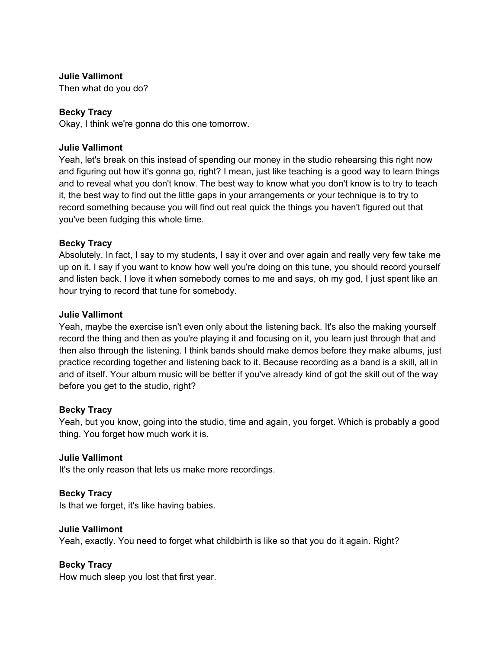Then what do you do?

# **Becky Tracy**

Okay, I think we're gonna do this one tomorrow.

## **Julie Vallimont**

Yeah, let's break on this instead of spending our money in the studio rehearsing this right now and figuring out how it's gonna go, right? I mean, just like teaching is a good way to learn things and to reveal what you don't know. The best way to know what you don't know is to try to teach it, the best way to find out the little gaps in your arrangements or your technique is to try to record something because you will find out real quick the things you haven't figured out that you've been fudging this whole time.

## **Becky Tracy**

Absolutely. In fact, I say to my students, I say it over and over again and really very few take me up on it. I say if you want to know how well you're doing on this tune, you should record yourself and listen back. I love it when somebody comes to me and says, oh my god, I just spent like an hour trying to record that tune for somebody.

## **Julie Vallimont**

Yeah, maybe the exercise isn't even only about the listening back. It's also the making yourself record the thing and then as you're playing it and focusing on it, you learn just through that and then also through the listening. I think bands should make demos before they make albums, just practice recording together and listening back to it. Because recording as a band is a skill, all in and of itself. Your album music will be better if you've already kind of got the skill out of the way before you get to the studio, right?

## **Becky Tracy**

Yeah, but you know, going into the studio, time and again, you forget. Which is probably a good thing. You forget how much work it is.

## **Julie Vallimont**

It's the only reason that lets us make more recordings.

## **Becky Tracy**

Is that we forget, it's like having babies.

## **Julie Vallimont**

Yeah, exactly. You need to forget what childbirth is like so that you do it again. Right?

## **Becky Tracy**

How much sleep you lost that first year.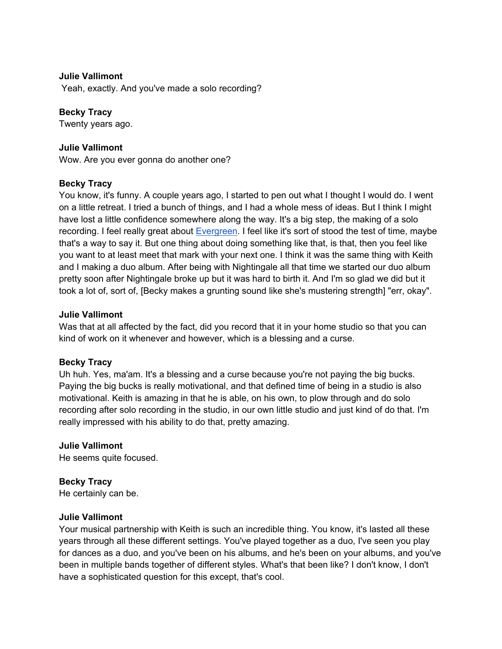Yeah, exactly. And you've made a solo recording?

## **Becky Tracy**

Twenty years ago.

#### **Julie Vallimont**

Wow. Are you ever gonna do another one?

#### **Becky Tracy**

You know, it's funny. A couple years ago, I started to pen out what I thought I would do. I went on a little retreat. I tried a bunch of things, and I had a whole mess of ideas. But I think I might have lost a little confidence somewhere along the way. It's a big step, the making of a solo recording. I feel really great about Evergreen. I feel like it's sort of stood the test of time, maybe that's a way to say it. But one thing about doing something like that, is that, then you feel like you want to at least meet that mark with your next one. I think it was the same thing with Keith and I making a duo album. After being with Nightingale all that time we started our duo album pretty soon after Nightingale broke up but it was hard to birth it. And I'm so glad we did but it took a lot of, sort of, [Becky makes a grunting sound like she's mustering strength] "err, okay".

#### **Julie Vallimont**

Was that at all affected by the fact, did you record that it in your home studio so that you can kind of work on it whenever and however, which is a blessing and a curse.

## **Becky Tracy**

Uh huh. Yes, ma'am. It's a blessing and a curse because you're not paying the big bucks. Paying the big bucks is really motivational, and that defined time of being in a studio is also motivational. Keith is amazing in that he is able, on his own, to plow through and do solo recording after solo recording in the studio, in our own little studio and just kind of do that. I'm really impressed with his ability to do that, pretty amazing.

#### **Julie Vallimont**

He seems quite focused.

## **Becky Tracy**

He certainly can be.

#### **Julie Vallimont**

Your musical partnership with Keith is such an incredible thing. You know, it's lasted all these years through all these different settings. You've played together as a duo, I've seen you play for dances as a duo, and you've been on his albums, and he's been on your albums, and you've been in multiple bands together of different styles. What's that been like? I don't know, I don't have a sophisticated question for this except, that's cool.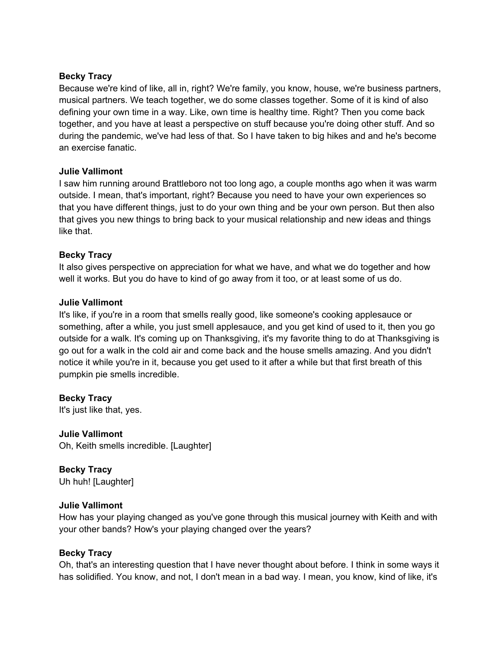Because we're kind of like, all in, right? We're family, you know, house, we're business partners, musical partners. We teach together, we do some classes together. Some of it is kind of also defining your own time in a way. Like, own time is healthy time. Right? Then you come back together, and you have at least a perspective on stuff because you're doing other stuff. And so during the pandemic, we've had less of that. So I have taken to big hikes and and he's become an exercise fanatic.

## **Julie Vallimont**

I saw him running around Brattleboro not too long ago, a couple months ago when it was warm outside. I mean, that's important, right? Because you need to have your own experiences so that you have different things, just to do your own thing and be your own person. But then also that gives you new things to bring back to your musical relationship and new ideas and things like that.

# **Becky Tracy**

It also gives perspective on appreciation for what we have, and what we do together and how well it works. But you do have to kind of go away from it too, or at least some of us do.

## **Julie Vallimont**

It's like, if you're in a room that smells really good, like someone's cooking applesauce or something, after a while, you just smell applesauce, and you get kind of used to it, then you go outside for a walk. It's coming up on Thanksgiving, it's my favorite thing to do at Thanksgiving is go out for a walk in the cold air and come back and the house smells amazing. And you didn't notice it while you're in it, because you get used to it after a while but that first breath of this pumpkin pie smells incredible.

**Becky Tracy**  It's just like that, yes.

**Julie Vallimont**  Oh, Keith smells incredible. [Laughter]

**Becky Tracy**  Uh huh! [Laughter]

## **Julie Vallimont**

How has your playing changed as you've gone through this musical journey with Keith and with your other bands? How's your playing changed over the years?

## **Becky Tracy**

Oh, that's an interesting question that I have never thought about before. I think in some ways it has solidified. You know, and not, I don't mean in a bad way. I mean, you know, kind of like, it's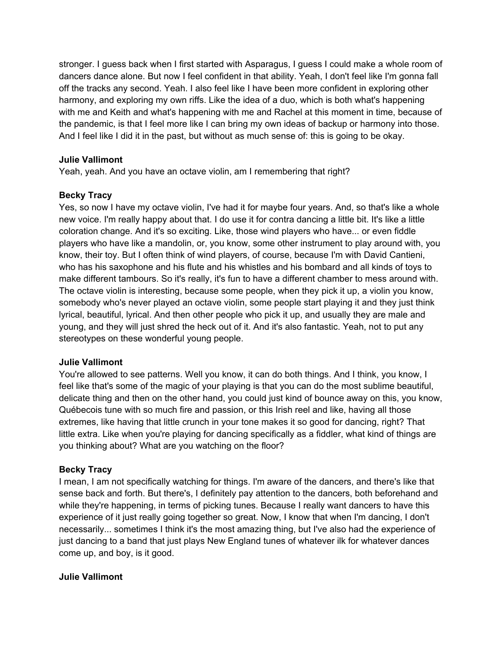stronger. I guess back when I first started with Asparagus, I guess I could make a whole room of dancers dance alone. But now I feel confident in that ability. Yeah, I don't feel like I'm gonna fall off the tracks any second. Yeah. I also feel like I have been more confident in exploring other harmony, and exploring my own riffs. Like the idea of a duo, which is both what's happening with me and Keith and what's happening with me and Rachel at this moment in time, because of the pandemic, is that I feel more like I can bring my own ideas of backup or harmony into those. And I feel like I did it in the past, but without as much sense of: this is going to be okay.

## **Julie Vallimont**

Yeah, yeah. And you have an octave violin, am I remembering that right?

# **Becky Tracy**

Yes, so now I have my octave violin, I've had it for maybe four years. And, so that's like a whole new voice. I'm really happy about that. I do use it for contra dancing a little bit. It's like a little coloration change. And it's so exciting. Like, those wind players who have... or even fiddle players who have like a mandolin, or, you know, some other instrument to play around with, you know, their toy. But I often think of wind players, of course, because I'm with David Cantieni, who has his saxophone and his flute and his whistles and his bombard and all kinds of toys to make different tambours. So it's really, it's fun to have a different chamber to mess around with. The octave violin is interesting, because some people, when they pick it up, a violin you know, somebody who's never played an octave violin, some people start playing it and they just think lyrical, beautiful, lyrical. And then other people who pick it up, and usually they are male and young, and they will just shred the heck out of it. And it's also fantastic. Yeah, not to put any stereotypes on these wonderful young people.

## **Julie Vallimont**

You're allowed to see patterns. Well you know, it can do both things. And I think, you know, I feel like that's some of the magic of your playing is that you can do the most sublime beautiful, delicate thing and then on the other hand, you could just kind of bounce away on this, you know, Québecois tune with so much fire and passion, or this Irish reel and like, having all those extremes, like having that little crunch in your tone makes it so good for dancing, right? That little extra. Like when you're playing for dancing specifically as a fiddler, what kind of things are you thinking about? What are you watching on the floor?

# **Becky Tracy**

I mean, I am not specifically watching for things. I'm aware of the dancers, and there's like that sense back and forth. But there's, I definitely pay attention to the dancers, both beforehand and while they're happening, in terms of picking tunes. Because I really want dancers to have this experience of it just really going together so great. Now, I know that when I'm dancing, I don't necessarily... sometimes I think it's the most amazing thing, but I've also had the experience of just dancing to a band that just plays New England tunes of whatever ilk for whatever dances come up, and boy, is it good.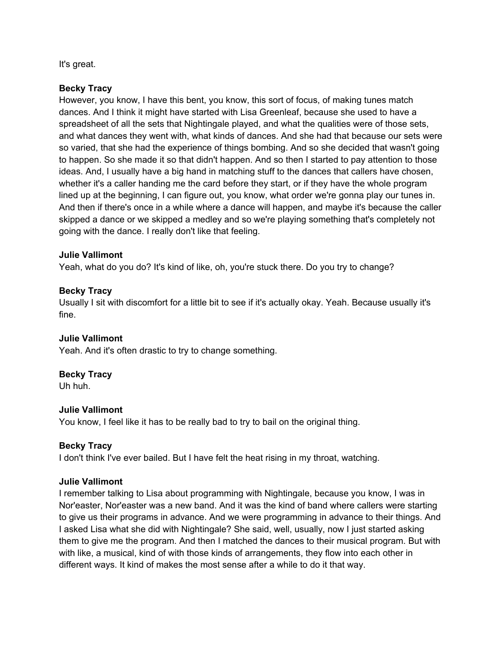It's great.

# **Becky Tracy**

However, you know, I have this bent, you know, this sort of focus, of making tunes match dances. And I think it might have started with Lisa Greenleaf, because she used to have a spreadsheet of all the sets that Nightingale played, and what the qualities were of those sets, and what dances they went with, what kinds of dances. And she had that because our sets were so varied, that she had the experience of things bombing. And so she decided that wasn't going to happen. So she made it so that didn't happen. And so then I started to pay attention to those ideas. And, I usually have a big hand in matching stuff to the dances that callers have chosen, whether it's a caller handing me the card before they start, or if they have the whole program lined up at the beginning, I can figure out, you know, what order we're gonna play our tunes in. And then if there's once in a while where a dance will happen, and maybe it's because the caller skipped a dance or we skipped a medley and so we're playing something that's completely not going with the dance. I really don't like that feeling.

# **Julie Vallimont**

Yeah, what do you do? It's kind of like, oh, you're stuck there. Do you try to change?

# **Becky Tracy**

Usually I sit with discomfort for a little bit to see if it's actually okay. Yeah. Because usually it's fine.

## **Julie Vallimont**

Yeah. And it's often drastic to try to change something.

## **Becky Tracy**

Uh huh.

## **Julie Vallimont**

You know, I feel like it has to be really bad to try to bail on the original thing.

# **Becky Tracy**

I don't think I've ever bailed. But I have felt the heat rising in my throat, watching.

## **Julie Vallimont**

I remember talking to Lisa about programming with Nightingale, because you know, I was in Nor'easter, Nor'easter was a new band. And it was the kind of band where callers were starting to give us their programs in advance. And we were programming in advance to their things. And I asked Lisa what she did with Nightingale? She said, well, usually, now I just started asking them to give me the program. And then I matched the dances to their musical program. But with with like, a musical, kind of with those kinds of arrangements, they flow into each other in different ways. It kind of makes the most sense after a while to do it that way.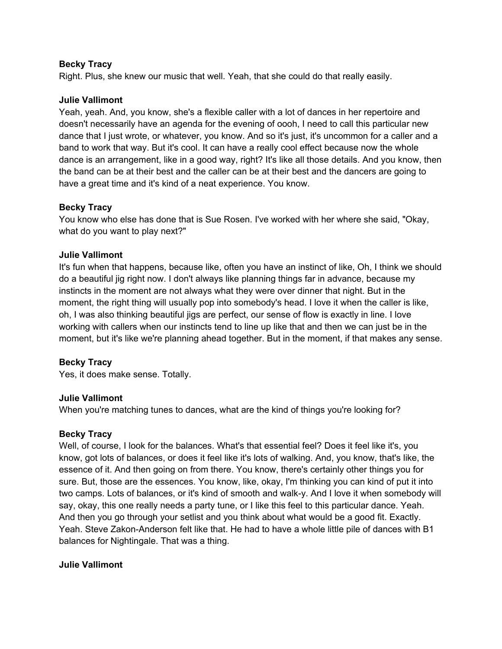Right. Plus, she knew our music that well. Yeah, that she could do that really easily.

## **Julie Vallimont**

Yeah, yeah. And, you know, she's a flexible caller with a lot of dances in her repertoire and doesn't necessarily have an agenda for the evening of oooh, I need to call this particular new dance that I just wrote, or whatever, you know. And so it's just, it's uncommon for a caller and a band to work that way. But it's cool. It can have a really cool effect because now the whole dance is an arrangement, like in a good way, right? It's like all those details. And you know, then the band can be at their best and the caller can be at their best and the dancers are going to have a great time and it's kind of a neat experience. You know.

# **Becky Tracy**

You know who else has done that is Sue Rosen. I've worked with her where she said, "Okay, what do you want to play next?"

# **Julie Vallimont**

It's fun when that happens, because like, often you have an instinct of like, Oh, I think we should do a beautiful jig right now. I don't always like planning things far in advance, because my instincts in the moment are not always what they were over dinner that night. But in the moment, the right thing will usually pop into somebody's head. I love it when the caller is like, oh, I was also thinking beautiful jigs are perfect, our sense of flow is exactly in line. I love working with callers when our instincts tend to line up like that and then we can just be in the moment, but it's like we're planning ahead together. But in the moment, if that makes any sense.

# **Becky Tracy**

Yes, it does make sense. Totally.

## **Julie Vallimont**

When you're matching tunes to dances, what are the kind of things you're looking for?

## **Becky Tracy**

Well, of course, I look for the balances. What's that essential feel? Does it feel like it's, you know, got lots of balances, or does it feel like it's lots of walking. And, you know, that's like, the essence of it. And then going on from there. You know, there's certainly other things you for sure. But, those are the essences. You know, like, okay, I'm thinking you can kind of put it into two camps. Lots of balances, or it's kind of smooth and walk-y. And I love it when somebody will say, okay, this one really needs a party tune, or I like this feel to this particular dance. Yeah. And then you go through your setlist and you think about what would be a good fit. Exactly. Yeah. Steve Zakon-Anderson felt like that. He had to have a whole little pile of dances with B1 balances for Nightingale. That was a thing.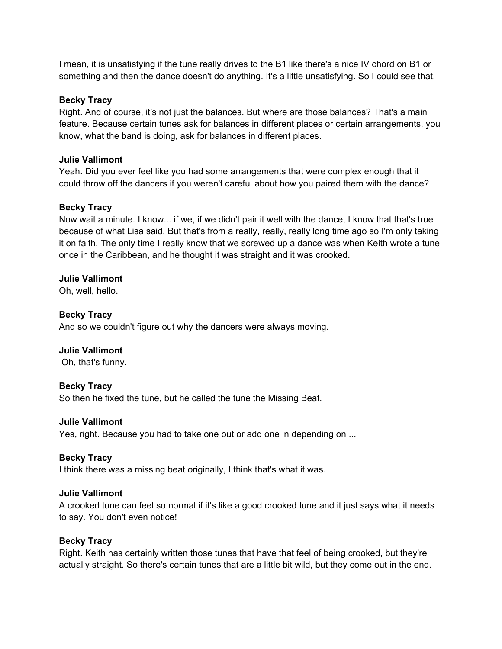I mean, it is unsatisfying if the tune really drives to the B1 like there's a nice IV chord on B1 or something and then the dance doesn't do anything. It's a little unsatisfying. So I could see that.

## **Becky Tracy**

Right. And of course, it's not just the balances. But where are those balances? That's a main feature. Because certain tunes ask for balances in different places or certain arrangements, you know, what the band is doing, ask for balances in different places.

# **Julie Vallimont**

Yeah. Did you ever feel like you had some arrangements that were complex enough that it could throw off the dancers if you weren't careful about how you paired them with the dance?

# **Becky Tracy**

Now wait a minute. I know... if we, if we didn't pair it well with the dance, I know that that's true because of what Lisa said. But that's from a really, really, really long time ago so I'm only taking it on faith. The only time I really know that we screwed up a dance was when Keith wrote a tune once in the Caribbean, and he thought it was straight and it was crooked.

# **Julie Vallimont**

Oh, well, hello.

# **Becky Tracy**

And so we couldn't figure out why the dancers were always moving.

# **Julie Vallimont**

Oh, that's funny.

## **Becky Tracy**

So then he fixed the tune, but he called the tune the Missing Beat.

## **Julie Vallimont**

Yes, right. Because you had to take one out or add one in depending on ...

## **Becky Tracy**

I think there was a missing beat originally, I think that's what it was.

## **Julie Vallimont**

A crooked tune can feel so normal if it's like a good crooked tune and it just says what it needs to say. You don't even notice!

## **Becky Tracy**

Right. Keith has certainly written those tunes that have that feel of being crooked, but they're actually straight. So there's certain tunes that are a little bit wild, but they come out in the end.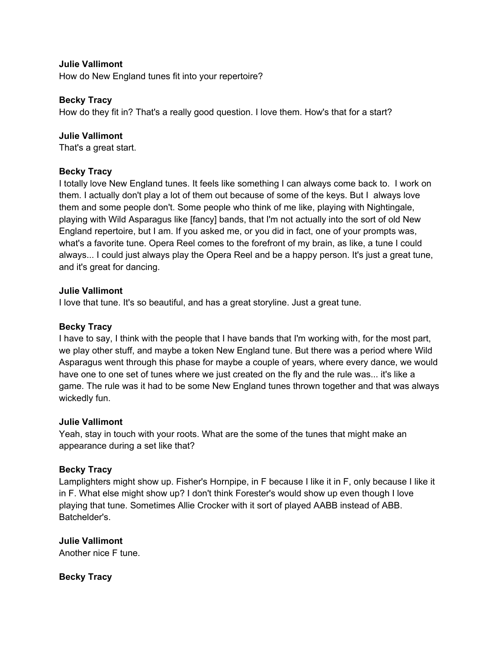How do New England tunes fit into your repertoire?

#### **Becky Tracy**

How do they fit in? That's a really good question. I love them. How's that for a start?

#### **Julie Vallimont**

That's a great start.

## **Becky Tracy**

I totally love New England tunes. It feels like something I can always come back to. I work on them. I actually don't play a lot of them out because of some of the keys. But I always love them and some people don't. Some people who think of me like, playing with Nightingale, playing with Wild Asparagus like [fancy] bands, that I'm not actually into the sort of old New England repertoire, but I am. If you asked me, or you did in fact, one of your prompts was, what's a favorite tune. Opera Reel comes to the forefront of my brain, as like, a tune I could always... I could just always play the Opera Reel and be a happy person. It's just a great tune, and it's great for dancing.

#### **Julie Vallimont**

I love that tune. It's so beautiful, and has a great storyline. Just a great tune.

#### **Becky Tracy**

I have to say, I think with the people that I have bands that I'm working with, for the most part, we play other stuff, and maybe a token New England tune. But there was a period where Wild Asparagus went through this phase for maybe a couple of years, where every dance, we would have one to one set of tunes where we just created on the fly and the rule was... it's like a game. The rule was it had to be some New England tunes thrown together and that was always wickedly fun.

#### **Julie Vallimont**

Yeah, stay in touch with your roots. What are the some of the tunes that might make an appearance during a set like that?

## **Becky Tracy**

Lamplighters might show up. Fisher's Hornpipe, in F because I like it in F, only because I like it in F. What else might show up? I don't think Forester's would show up even though I love playing that tune. Sometimes Allie Crocker with it sort of played AABB instead of ABB. Batchelder's.

## **Julie Vallimont**

Another nice F tune.

**Becky Tracy**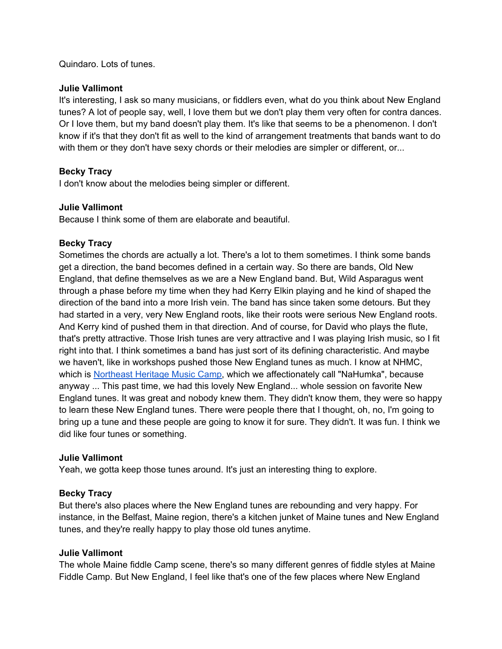Quindaro. Lots of tunes.

#### **Julie Vallimont**

It's interesting, I ask so many musicians, or fiddlers even, what do you think about New England tunes? A lot of people say, well, I love them but we don't play them very often for contra dances. Or I love them, but my band doesn't play them. It's like that seems to be a phenomenon. I don't know if it's that they don't fit as well to the kind of arrangement treatments that bands want to do with them or they don't have sexy chords or their melodies are simpler or different, or...

# **Becky Tracy**

I don't know about the melodies being simpler or different.

## **Julie Vallimont**

Because I think some of them are elaborate and beautiful.

## **Becky Tracy**

Sometimes the chords are actually a lot. There's a lot to them sometimes. I think some bands get a direction, the band becomes defined in a certain way. So there are bands, Old New England, that define themselves as we are a New England band. But, Wild Asparagus went through a phase before my time when they had Kerry Elkin playing and he kind of shaped the direction of the band into a more Irish vein. The band has since taken some detours. But they had started in a very, very New England roots, like their roots were serious New England roots. And Kerry kind of pushed them in that direction. And of course, for David who plays the flute, that's pretty attractive. Those Irish tunes are very attractive and I was playing Irish music, so I fit right into that. I think sometimes a band has just sort of its defining characteristic. And maybe we haven't, like in workshops pushed those New England tunes as much. I know at NHMC, which is Northeast Heritage Music Camp, which we affectionately call "NaHumka", because anyway ... This past time, we had this lovely New England... whole session on favorite New England tunes. It was great and nobody knew them. They didn't know them, they were so happy to learn these New England tunes. There were people there that I thought, oh, no, I'm going to bring up a tune and these people are going to know it for sure. They didn't. It was fun. I think we did like four tunes or something.

#### **Julie Vallimont**

Yeah, we gotta keep those tunes around. It's just an interesting thing to explore.

## **Becky Tracy**

But there's also places where the New England tunes are rebounding and very happy. For instance, in the Belfast, Maine region, there's a kitchen junket of Maine tunes and New England tunes, and they're really happy to play those old tunes anytime.

## **Julie Vallimont**

The whole Maine fiddle Camp scene, there's so many different genres of fiddle styles at Maine Fiddle Camp. But New England, I feel like that's one of the few places where New England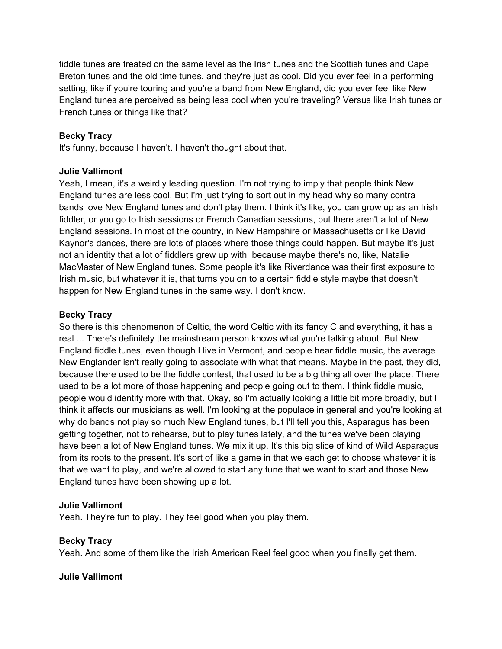fiddle tunes are treated on the same level as the Irish tunes and the Scottish tunes and Cape Breton tunes and the old time tunes, and they're just as cool. Did you ever feel in a performing setting, like if you're touring and you're a band from New England, did you ever feel like New England tunes are perceived as being less cool when you're traveling? Versus like Irish tunes or French tunes or things like that?

# **Becky Tracy**

It's funny, because I haven't. I haven't thought about that.

# **Julie Vallimont**

Yeah, I mean, it's a weirdly leading question. I'm not trying to imply that people think New England tunes are less cool. But I'm just trying to sort out in my head why so many contra bands love New England tunes and don't play them. I think it's like, you can grow up as an Irish fiddler, or you go to Irish sessions or French Canadian sessions, but there aren't a lot of New England sessions. In most of the country, in New Hampshire or Massachusetts or like David Kaynor's dances, there are lots of places where those things could happen. But maybe it's just not an identity that a lot of fiddlers grew up with because maybe there's no, like, Natalie MacMaster of New England tunes. Some people it's like Riverdance was their first exposure to Irish music, but whatever it is, that turns you on to a certain fiddle style maybe that doesn't happen for New England tunes in the same way. I don't know.

# **Becky Tracy**

So there is this phenomenon of Celtic, the word Celtic with its fancy C and everything, it has a real ... There's definitely the mainstream person knows what you're talking about. But New England fiddle tunes, even though I live in Vermont, and people hear fiddle music, the average New Englander isn't really going to associate with what that means. Maybe in the past, they did, because there used to be the fiddle contest, that used to be a big thing all over the place. There used to be a lot more of those happening and people going out to them. I think fiddle music, people would identify more with that. Okay, so I'm actually looking a little bit more broadly, but I think it affects our musicians as well. I'm looking at the populace in general and you're looking at why do bands not play so much New England tunes, but I'll tell you this, Asparagus has been getting together, not to rehearse, but to play tunes lately, and the tunes we've been playing have been a lot of New England tunes. We mix it up. It's this big slice of kind of Wild Asparagus from its roots to the present. It's sort of like a game in that we each get to choose whatever it is that we want to play, and we're allowed to start any tune that we want to start and those New England tunes have been showing up a lot.

## **Julie Vallimont**

Yeah. They're fun to play. They feel good when you play them.

## **Becky Tracy**

Yeah. And some of them like the Irish American Reel feel good when you finally get them.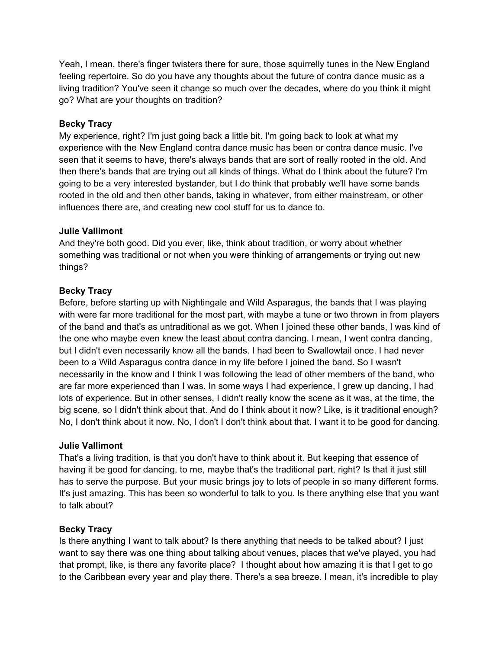Yeah, I mean, there's finger twisters there for sure, those squirrelly tunes in the New England feeling repertoire. So do you have any thoughts about the future of contra dance music as a living tradition? You've seen it change so much over the decades, where do you think it might go? What are your thoughts on tradition?

# **Becky Tracy**

My experience, right? I'm just going back a little bit. I'm going back to look at what my experience with the New England contra dance music has been or contra dance music. I've seen that it seems to have, there's always bands that are sort of really rooted in the old. And then there's bands that are trying out all kinds of things. What do I think about the future? I'm going to be a very interested bystander, but I do think that probably we'll have some bands rooted in the old and then other bands, taking in whatever, from either mainstream, or other influences there are, and creating new cool stuff for us to dance to.

# **Julie Vallimont**

And they're both good. Did you ever, like, think about tradition, or worry about whether something was traditional or not when you were thinking of arrangements or trying out new things?

# **Becky Tracy**

Before, before starting up with Nightingale and Wild Asparagus, the bands that I was playing with were far more traditional for the most part, with maybe a tune or two thrown in from players of the band and that's as untraditional as we got. When I joined these other bands, I was kind of the one who maybe even knew the least about contra dancing. I mean, I went contra dancing, but I didn't even necessarily know all the bands. I had been to Swallowtail once. I had never been to a Wild Asparagus contra dance in my life before I joined the band. So I wasn't necessarily in the know and I think I was following the lead of other members of the band, who are far more experienced than I was. In some ways I had experience, I grew up dancing, I had lots of experience. But in other senses, I didn't really know the scene as it was, at the time, the big scene, so I didn't think about that. And do I think about it now? Like, is it traditional enough? No, I don't think about it now. No, I don't I don't think about that. I want it to be good for dancing.

## **Julie Vallimont**

That's a living tradition, is that you don't have to think about it. But keeping that essence of having it be good for dancing, to me, maybe that's the traditional part, right? Is that it just still has to serve the purpose. But your music brings joy to lots of people in so many different forms. It's just amazing. This has been so wonderful to talk to you. Is there anything else that you want to talk about?

# **Becky Tracy**

Is there anything I want to talk about? Is there anything that needs to be talked about? I just want to say there was one thing about talking about venues, places that we've played, you had that prompt, like, is there any favorite place? I thought about how amazing it is that I get to go to the Caribbean every year and play there. There's a sea breeze. I mean, it's incredible to play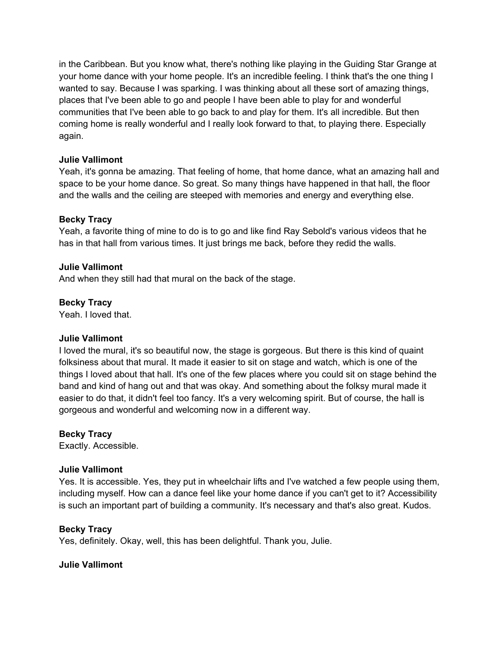in the Caribbean. But you know what, there's nothing like playing in the Guiding Star Grange at your home dance with your home people. It's an incredible feeling. I think that's the one thing I wanted to say. Because I was sparking. I was thinking about all these sort of amazing things, places that I've been able to go and people I have been able to play for and wonderful communities that I've been able to go back to and play for them. It's all incredible. But then coming home is really wonderful and I really look forward to that, to playing there. Especially again.

## **Julie Vallimont**

Yeah, it's gonna be amazing. That feeling of home, that home dance, what an amazing hall and space to be your home dance. So great. So many things have happened in that hall, the floor and the walls and the ceiling are steeped with memories and energy and everything else.

## **Becky Tracy**

Yeah, a favorite thing of mine to do is to go and like find Ray Sebold's various videos that he has in that hall from various times. It just brings me back, before they redid the walls.

#### **Julie Vallimont**

And when they still had that mural on the back of the stage.

#### **Becky Tracy**

Yeah. I loved that.

#### **Julie Vallimont**

I loved the mural, it's so beautiful now, the stage is gorgeous. But there is this kind of quaint folksiness about that mural. It made it easier to sit on stage and watch, which is one of the things I loved about that hall. It's one of the few places where you could sit on stage behind the band and kind of hang out and that was okay. And something about the folksy mural made it easier to do that, it didn't feel too fancy. It's a very welcoming spirit. But of course, the hall is gorgeous and wonderful and welcoming now in a different way.

#### **Becky Tracy**

Exactly. Accessible.

#### **Julie Vallimont**

Yes. It is accessible. Yes, they put in wheelchair lifts and I've watched a few people using them, including myself. How can a dance feel like your home dance if you can't get to it? Accessibility is such an important part of building a community. It's necessary and that's also great. Kudos.

## **Becky Tracy**

Yes, definitely. Okay, well, this has been delightful. Thank you, Julie.